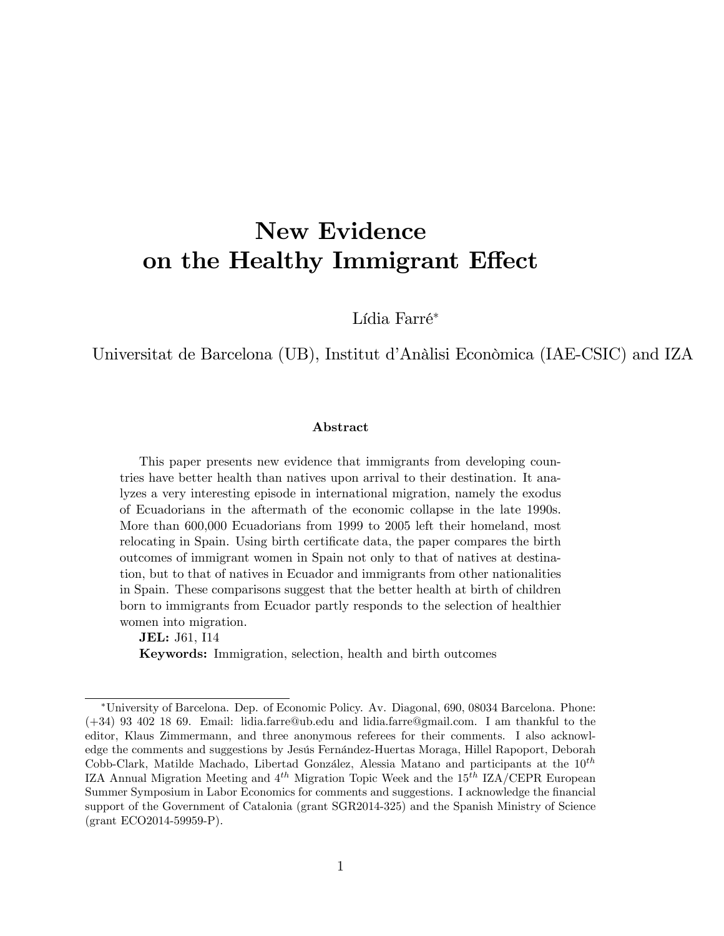# New Evidence on the Healthy Immigrant Effect

Lídia Farré\*

Universitat de Barcelona (UB), Institut d'Anàlisi Econòmica (IAE-CSIC) and IZA

#### Abstract

This paper presents new evidence that immigrants from developing countries have better health than natives upon arrival to their destination. It analyzes a very interesting episode in international migration, namely the exodus of Ecuadorians in the aftermath of the economic collapse in the late 1990s. More than 600,000 Ecuadorians from 1999 to 2005 left their homeland, most relocating in Spain. Using birth certificate data, the paper compares the birth outcomes of immigrant women in Spain not only to that of natives at destination, but to that of natives in Ecuador and immigrants from other nationalities in Spain. These comparisons suggest that the better health at birth of children born to immigrants from Ecuador partly responds to the selection of healthier women into migration.

JEL: J61, I14

Keywords: Immigration, selection, health and birth outcomes

University of Barcelona. Dep. of Economic Policy. Av. Diagonal, 690, 08034 Barcelona. Phone: (+34) 93 402 18 69. Email: lidia.farre@ub.edu and lidia.farre@gmail.com. I am thankful to the editor, Klaus Zimmermann, and three anonymous referees for their comments. I also acknowledge the comments and suggestions by Jesús Fernández-Huertas Moraga, Hillel Rapoport, Deborah Cobb-Clark, Matilde Machado, Libertad González, Alessia Matano and participants at the  $10^{th}$ IZA Annual Migration Meeting and  $4^{th}$  Migration Topic Week and the  $15^{th}$  IZA/CEPR European Summer Symposium in Labor Economics for comments and suggestions. I acknowledge the financial support of the Government of Catalonia (grant SGR2014-325) and the Spanish Ministry of Science (grant ECO2014-59959-P).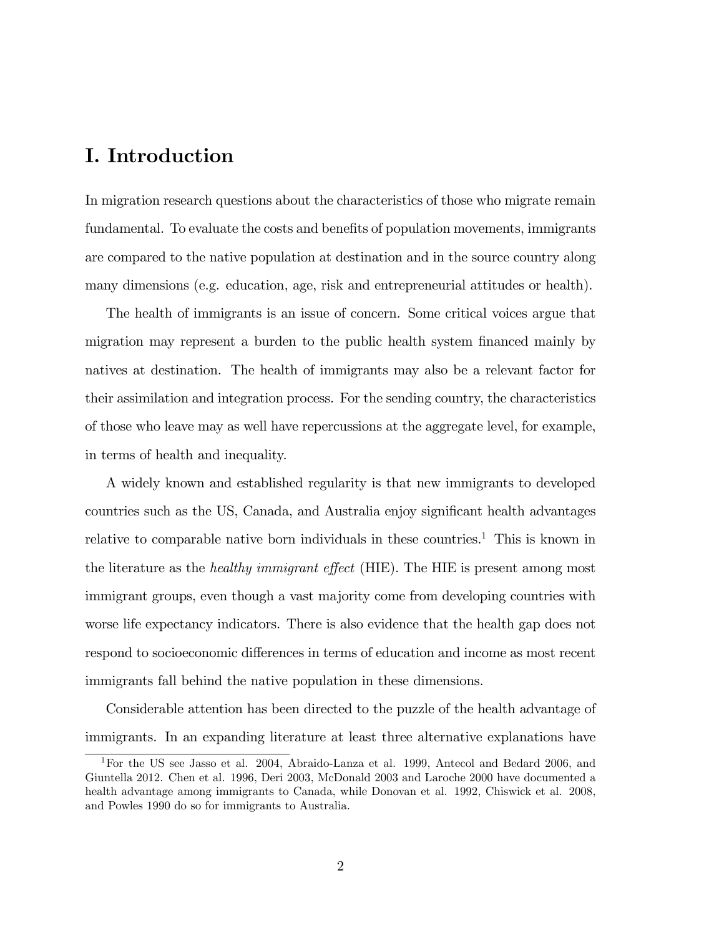### I. Introduction

In migration research questions about the characteristics of those who migrate remain fundamental. To evaluate the costs and benefits of population movements, immigrants are compared to the native population at destination and in the source country along many dimensions (e.g. education, age, risk and entrepreneurial attitudes or health).

The health of immigrants is an issue of concern. Some critical voices argue that migration may represent a burden to the public health system financed mainly by natives at destination. The health of immigrants may also be a relevant factor for their assimilation and integration process. For the sending country, the characteristics of those who leave may as well have repercussions at the aggregate level, for example, in terms of health and inequality.

A widely known and established regularity is that new immigrants to developed countries such as the US, Canada, and Australia enjoy significant health advantages relative to comparable native born individuals in these countries.<sup>1</sup> This is known in the literature as the *healthy immigrant effect* (HIE). The HIE is present among most immigrant groups, even though a vast majority come from developing countries with worse life expectancy indicators. There is also evidence that the health gap does not respond to socioeconomic differences in terms of education and income as most recent immigrants fall behind the native population in these dimensions.

Considerable attention has been directed to the puzzle of the health advantage of immigrants. In an expanding literature at least three alternative explanations have

<sup>1</sup>For the US see Jasso et al. 2004, Abraido-Lanza et al. 1999, Antecol and Bedard 2006, and Giuntella 2012. Chen et al. 1996, Deri 2003, McDonald 2003 and Laroche 2000 have documented a health advantage among immigrants to Canada, while Donovan et al. 1992, Chiswick et al. 2008, and Powles 1990 do so for immigrants to Australia.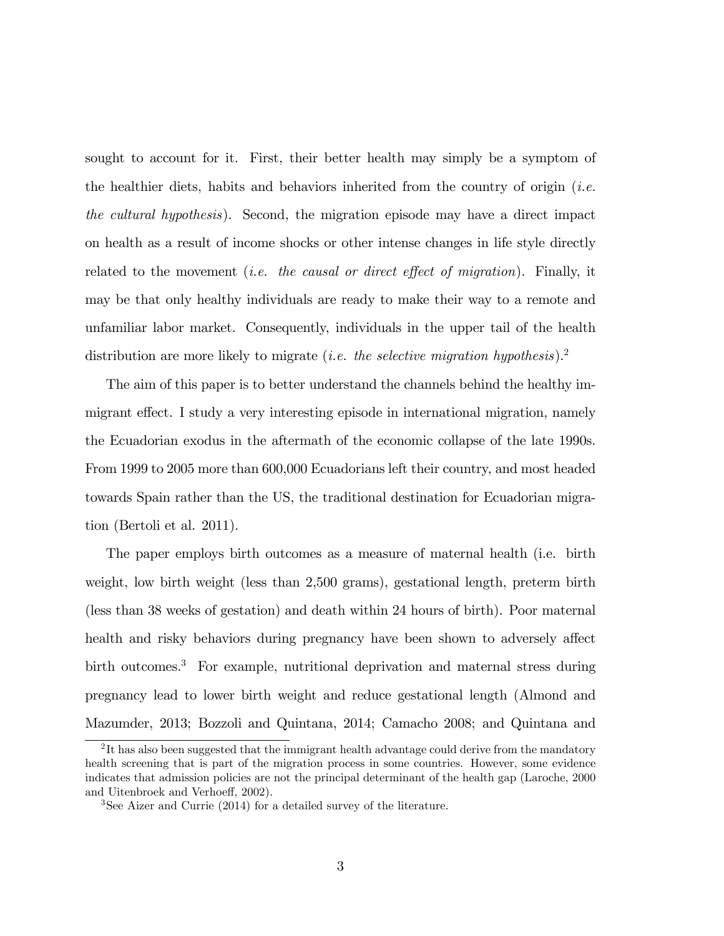sought to account for it. First, their better health may simply be a symptom of the healthier diets, habits and behaviors inherited from the country of origin (*i.e.* the cultural hypothesis). Second, the migration episode may have a direct impact on health as a result of income shocks or other intense changes in life style directly related to the movement *(i.e. the causal or direct effect of migration)*. Finally, it may be that only healthy individuals are ready to make their way to a remote and unfamiliar labor market. Consequently, individuals in the upper tail of the health distribution are more likely to migrate (*i.e. the selective migration hypothesis*).<sup>2</sup>

The aim of this paper is to better understand the channels behind the healthy immigrant effect. I study a very interesting episode in international migration, namely the Ecuadorian exodus in the aftermath of the economic collapse of the late 1990s. From 1999 to 2005 more than 600,000 Ecuadorians left their country, and most headed towards Spain rather than the US, the traditional destination for Ecuadorian migration (Bertoli et al. 2011).

The paper employs birth outcomes as a measure of maternal health (i.e. birth weight, low birth weight (less than 2,500 grams), gestational length, preterm birth (less than 38 weeks of gestation) and death within 24 hours of birth). Poor maternal health and risky behaviors during pregnancy have been shown to adversely affect birth outcomes.<sup>3</sup> For example, nutritional deprivation and maternal stress during pregnancy lead to lower birth weight and reduce gestational length (Almond and Mazumder, 2013; Bozzoli and Quintana, 2014; Camacho 2008; and Quintana and

<sup>&</sup>lt;sup>2</sup>It has also been suggested that the immigrant health advantage could derive from the mandatory health screening that is part of the migration process in some countries. However, some evidence indicates that admission policies are not the principal determinant of the health gap (Laroche, 2000 and Uitenbroek and Verhoeff, 2002).

<sup>3</sup>See Aizer and Currie (2014) for a detailed survey of the literature.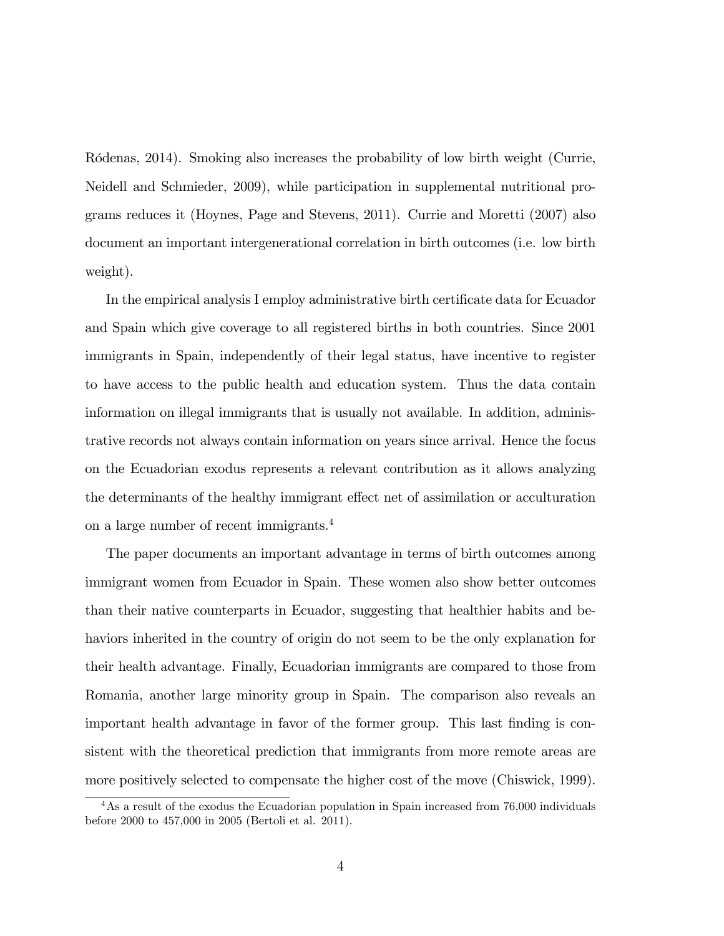Ródenas, 2014). Smoking also increases the probability of low birth weight (Currie, Neidell and Schmieder, 2009), while participation in supplemental nutritional programs reduces it (Hoynes, Page and Stevens, 2011). Currie and Moretti (2007) also document an important intergenerational correlation in birth outcomes (i.e. low birth weight).

In the empirical analysis I employ administrative birth certificate data for Ecuador and Spain which give coverage to all registered births in both countries. Since 2001 immigrants in Spain, independently of their legal status, have incentive to register to have access to the public health and education system. Thus the data contain information on illegal immigrants that is usually not available. In addition, administrative records not always contain information on years since arrival. Hence the focus on the Ecuadorian exodus represents a relevant contribution as it allows analyzing the determinants of the healthy immigrant effect net of assimilation or acculturation on a large number of recent immigrants.<sup>4</sup>

The paper documents an important advantage in terms of birth outcomes among immigrant women from Ecuador in Spain. These women also show better outcomes than their native counterparts in Ecuador, suggesting that healthier habits and behaviors inherited in the country of origin do not seem to be the only explanation for their health advantage. Finally, Ecuadorian immigrants are compared to those from Romania, another large minority group in Spain. The comparison also reveals an important health advantage in favor of the former group. This last finding is consistent with the theoretical prediction that immigrants from more remote areas are more positively selected to compensate the higher cost of the move (Chiswick, 1999).

<sup>&</sup>lt;sup>4</sup>As a result of the exodus the Ecuadorian population in Spain increased from 76,000 individuals before 2000 to 457,000 in 2005 (Bertoli et al. 2011).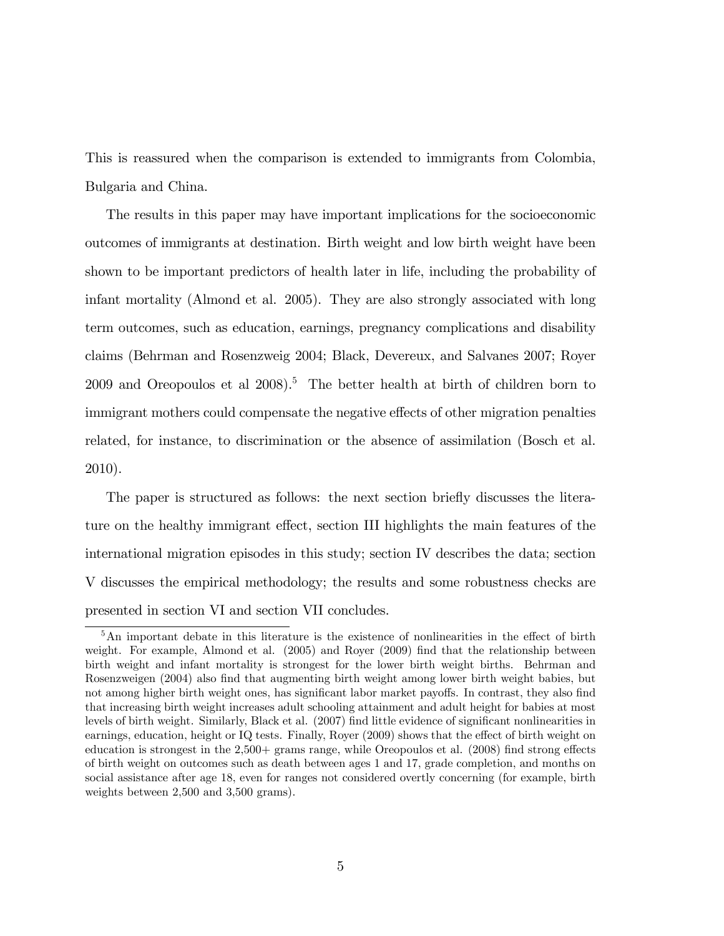This is reassured when the comparison is extended to immigrants from Colombia, Bulgaria and China.

The results in this paper may have important implications for the socioeconomic outcomes of immigrants at destination. Birth weight and low birth weight have been shown to be important predictors of health later in life, including the probability of infant mortality (Almond et al. 2005). They are also strongly associated with long term outcomes, such as education, earnings, pregnancy complications and disability claims (Behrman and Rosenzweig 2004; Black, Devereux, and Salvanes 2007; Royer  $2009$  and Oreopoulos et al  $2008$ ).<sup>5</sup> The better health at birth of children born to immigrant mothers could compensate the negative effects of other migration penalties related, for instance, to discrimination or the absence of assimilation (Bosch et al. 2010).

The paper is structured as follows: the next section briefly discusses the literature on the healthy immigrant effect, section III highlights the main features of the international migration episodes in this study; section IV describes the data; section V discusses the empirical methodology; the results and some robustness checks are presented in section VI and section VII concludes.

 $5$ An important debate in this literature is the existence of nonlinearities in the effect of birth weight. For example, Almond et al. (2005) and Royer (2009) find that the relationship between birth weight and infant mortality is strongest for the lower birth weight births. Behrman and Rosenzweigen (2004) also find that augmenting birth weight among lower birth weight babies, but not among higher birth weight ones, has significant labor market payoffs. In contrast, they also find that increasing birth weight increases adult schooling attainment and adult height for babies at most levels of birth weight. Similarly, Black et al. (2007) find little evidence of significant nonlinearities in earnings, education, height or IQ tests. Finally, Royer (2009) shows that the effect of birth weight on education is strongest in the  $2,500+$  grams range, while Oreopoulos et al. (2008) find strong effects of birth weight on outcomes such as death between ages 1 and 17, grade completion, and months on social assistance after age 18, even for ranges not considered overtly concerning (for example, birth weights between 2,500 and 3,500 grams).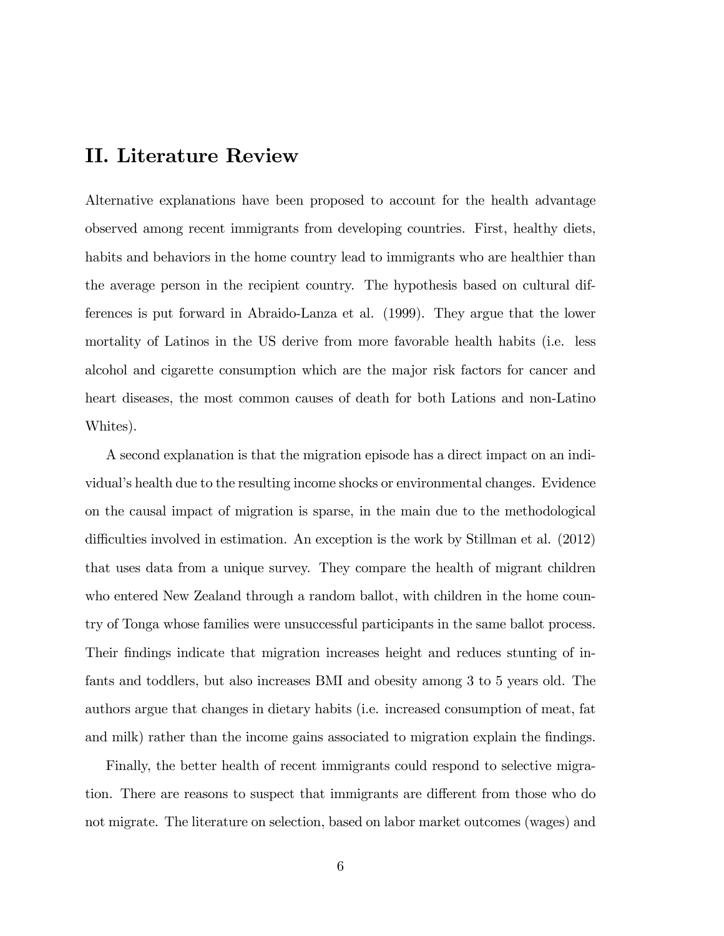### II. Literature Review

Alternative explanations have been proposed to account for the health advantage observed among recent immigrants from developing countries. First, healthy diets, habits and behaviors in the home country lead to immigrants who are healthier than the average person in the recipient country. The hypothesis based on cultural differences is put forward in Abraido-Lanza et al. (1999). They argue that the lower mortality of Latinos in the US derive from more favorable health habits (i.e. less alcohol and cigarette consumption which are the major risk factors for cancer and heart diseases, the most common causes of death for both Lations and non-Latino Whites).

A second explanation is that the migration episode has a direct impact on an individualís health due to the resulting income shocks or environmental changes. Evidence on the causal impact of migration is sparse, in the main due to the methodological difficulties involved in estimation. An exception is the work by Stillman et al.  $(2012)$ that uses data from a unique survey. They compare the health of migrant children who entered New Zealand through a random ballot, with children in the home country of Tonga whose families were unsuccessful participants in the same ballot process. Their findings indicate that migration increases height and reduces stunting of infants and toddlers, but also increases BMI and obesity among 3 to 5 years old. The authors argue that changes in dietary habits (i.e. increased consumption of meat, fat and milk) rather than the income gains associated to migration explain the findings.

Finally, the better health of recent immigrants could respond to selective migration. There are reasons to suspect that immigrants are different from those who do not migrate. The literature on selection, based on labor market outcomes (wages) and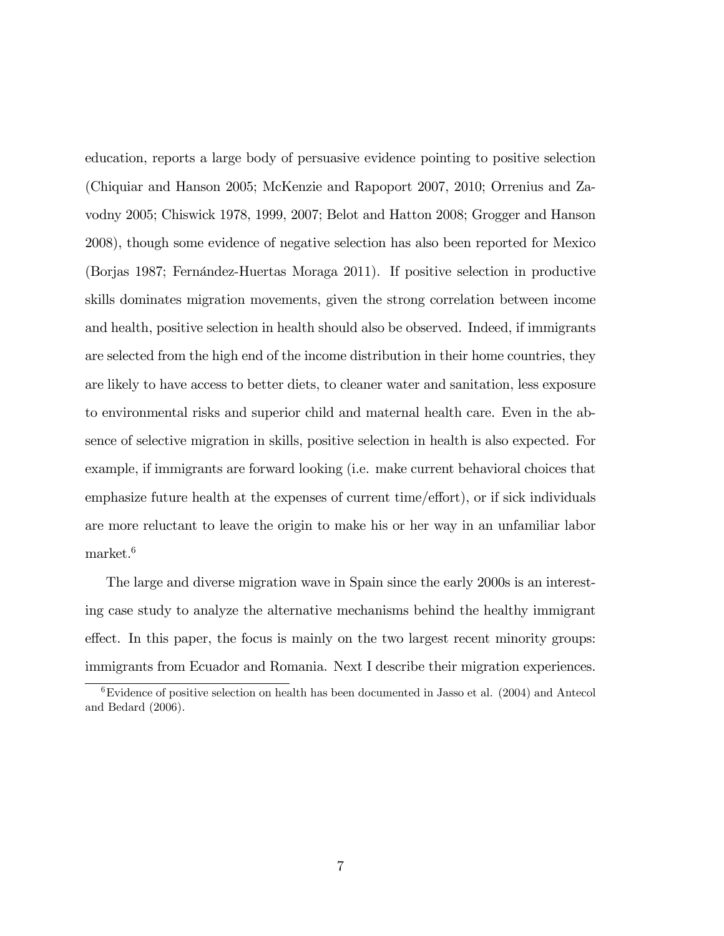education, reports a large body of persuasive evidence pointing to positive selection (Chiquiar and Hanson 2005; McKenzie and Rapoport 2007, 2010; Orrenius and Zavodny 2005; Chiswick 1978, 1999, 2007; Belot and Hatton 2008; Grogger and Hanson 2008), though some evidence of negative selection has also been reported for Mexico (Borjas 1987; Fernández-Huertas Moraga 2011). If positive selection in productive skills dominates migration movements, given the strong correlation between income and health, positive selection in health should also be observed. Indeed, if immigrants are selected from the high end of the income distribution in their home countries, they are likely to have access to better diets, to cleaner water and sanitation, less exposure to environmental risks and superior child and maternal health care. Even in the absence of selective migration in skills, positive selection in health is also expected. For example, if immigrants are forward looking (i.e. make current behavioral choices that emphasize future health at the expenses of current time/effort), or if sick individuals are more reluctant to leave the origin to make his or her way in an unfamiliar labor market.<sup>6</sup>

The large and diverse migration wave in Spain since the early 2000s is an interesting case study to analyze the alternative mechanisms behind the healthy immigrant effect. In this paper, the focus is mainly on the two largest recent minority groups: immigrants from Ecuador and Romania. Next I describe their migration experiences.

 ${}^{6}$ Evidence of positive selection on health has been documented in Jasso et al. (2004) and Antecol and Bedard (2006).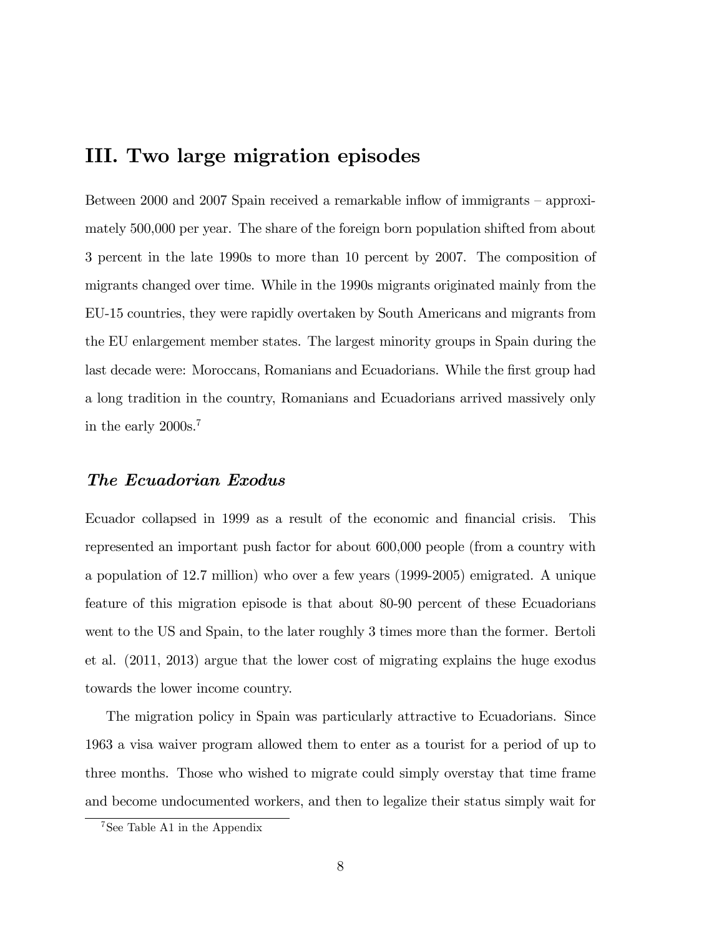### III. Two large migration episodes

Between  $2000$  and  $2007$  Spain received a remarkable inflow of immigrants – approximately 500,000 per year. The share of the foreign born population shifted from about 3 percent in the late 1990s to more than 10 percent by 2007. The composition of migrants changed over time. While in the 1990s migrants originated mainly from the EU-15 countries, they were rapidly overtaken by South Americans and migrants from the EU enlargement member states. The largest minority groups in Spain during the last decade were: Moroccans, Romanians and Ecuadorians. While the first group had a long tradition in the country, Romanians and Ecuadorians arrived massively only in the early 2000s.<sup>7</sup>

### The Ecuadorian Exodus

Ecuador collapsed in 1999 as a result of the economic and financial crisis. This represented an important push factor for about 600,000 people (from a country with a population of 12.7 million) who over a few years (1999-2005) emigrated. A unique feature of this migration episode is that about 80-90 percent of these Ecuadorians went to the US and Spain, to the later roughly 3 times more than the former. Bertoli et al. (2011, 2013) argue that the lower cost of migrating explains the huge exodus towards the lower income country.

The migration policy in Spain was particularly attractive to Ecuadorians. Since 1963 a visa waiver program allowed them to enter as a tourist for a period of up to three months. Those who wished to migrate could simply overstay that time frame and become undocumented workers, and then to legalize their status simply wait for

<sup>&</sup>lt;sup>7</sup>See Table A1 in the Appendix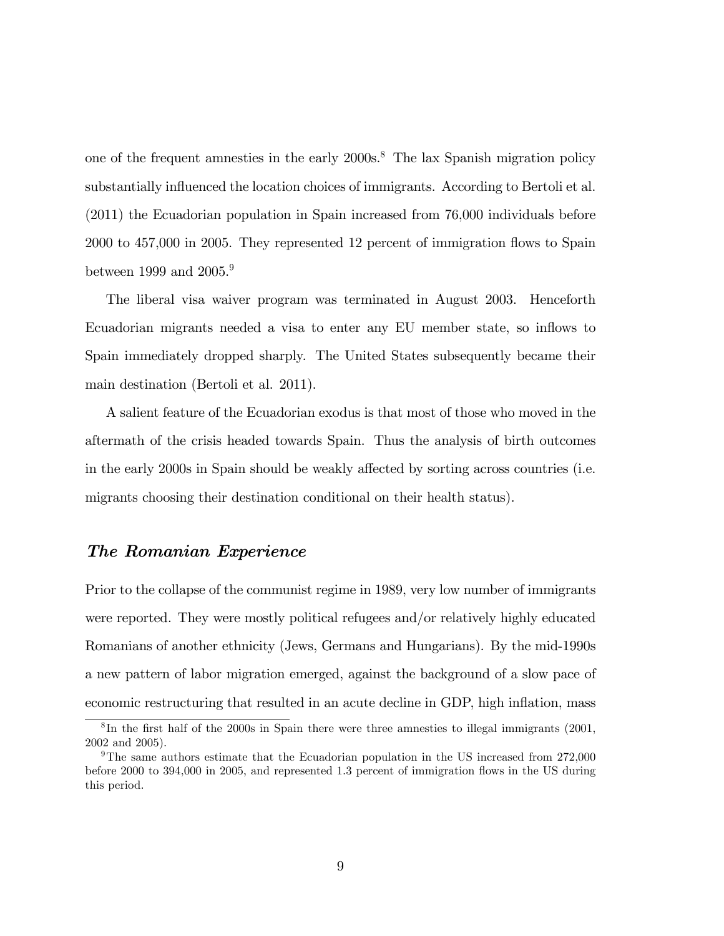one of the frequent amnesties in the early 2000s.<sup>8</sup> The lax Spanish migration policy substantially influenced the location choices of immigrants. According to Bertoli et al. (2011) the Ecuadorian population in Spain increased from 76,000 individuals before 2000 to 457,000 in 2005. They represented 12 percent of immigration áows to Spain between 1999 and 2005.<sup>9</sup>

The liberal visa waiver program was terminated in August 2003. Henceforth Ecuadorian migrants needed a visa to enter any EU member state, so inflows to Spain immediately dropped sharply. The United States subsequently became their main destination (Bertoli et al. 2011).

A salient feature of the Ecuadorian exodus is that most of those who moved in the aftermath of the crisis headed towards Spain. Thus the analysis of birth outcomes in the early 2000s in Spain should be weakly affected by sorting across countries (i.e. migrants choosing their destination conditional on their health status).

### The Romanian Experience

Prior to the collapse of the communist regime in 1989, very low number of immigrants were reported. They were mostly political refugees and/or relatively highly educated Romanians of another ethnicity (Jews, Germans and Hungarians). By the mid-1990s a new pattern of labor migration emerged, against the background of a slow pace of economic restructuring that resulted in an acute decline in GDP, high inflation, mass

 ${}^{8}$ In the first half of the 2000s in Spain there were three amnesties to illegal immigrants (2001, 2002 and 2005).

<sup>9</sup>The same authors estimate that the Ecuadorian population in the US increased from 272,000 before 2000 to 394,000 in 2005, and represented 1.3 percent of immigration flows in the US during this period.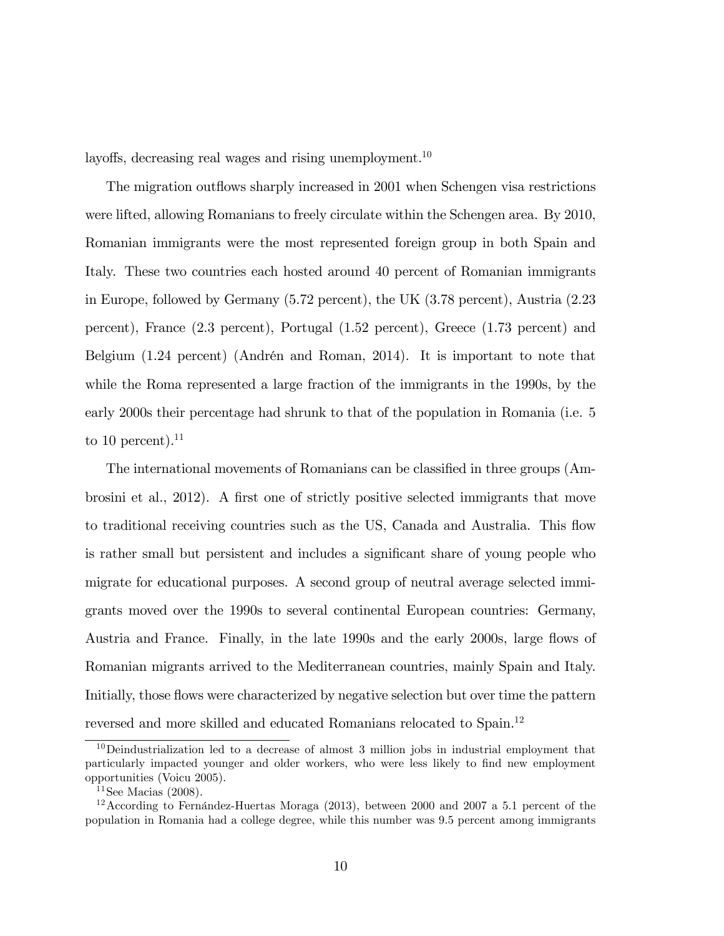layoffs, decreasing real wages and rising unemployment.<sup>10</sup>

The migration outflows sharply increased in 2001 when Schengen visa restrictions were lifted, allowing Romanians to freely circulate within the Schengen area. By 2010, Romanian immigrants were the most represented foreign group in both Spain and Italy. These two countries each hosted around 40 percent of Romanian immigrants in Europe, followed by Germany (5.72 percent), the UK (3.78 percent), Austria (2.23 percent), France (2.3 percent), Portugal (1.52 percent), Greece (1.73 percent) and Belgium  $(1.24$  percent) (Andrén and Roman, 2014). It is important to note that while the Roma represented a large fraction of the immigrants in the 1990s, by the early 2000s their percentage had shrunk to that of the population in Romania (i.e. 5 to 10 percent).<sup>11</sup>

The international movements of Romanians can be classified in three groups (Ambrosini et al., 2012). A first one of strictly positive selected immigrants that move to traditional receiving countries such as the US, Canada and Australia. This áow is rather small but persistent and includes a significant share of young people who migrate for educational purposes. A second group of neutral average selected immigrants moved over the 1990s to several continental European countries: Germany, Austria and France. Finally, in the late 1990s and the early 2000s, large flows of Romanian migrants arrived to the Mediterranean countries, mainly Spain and Italy. Initially, those flows were characterized by negative selection but over time the pattern reversed and more skilled and educated Romanians relocated to Spain.<sup>12</sup>

 $10$ Deindustrialization led to a decrease of almost 3 million jobs in industrial employment that particularly impacted younger and older workers, who were less likely to find new employment opportunities (Voicu 2005).

<sup>&</sup>lt;sup>11</sup>See Macias  $(2008)$ .

 $12$ According to Fernández-Huertas Moraga (2013), between 2000 and 2007 a 5.1 percent of the population in Romania had a college degree, while this number was 9.5 percent among immigrants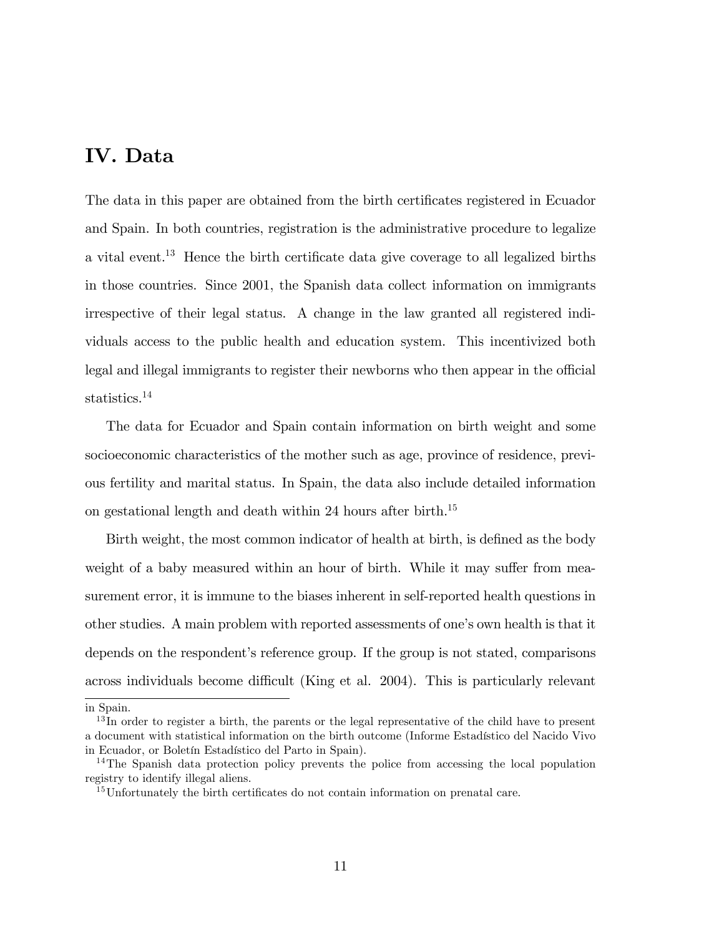# IV. Data

The data in this paper are obtained from the birth certificates registered in Ecuador and Spain. In both countries, registration is the administrative procedure to legalize a vital event.<sup>13</sup> Hence the birth certificate data give coverage to all legalized births in those countries. Since 2001, the Spanish data collect information on immigrants irrespective of their legal status. A change in the law granted all registered individuals access to the public health and education system. This incentivized both legal and illegal immigrants to register their newborns who then appear in the official statistics.<sup>14</sup>

The data for Ecuador and Spain contain information on birth weight and some socioeconomic characteristics of the mother such as age, province of residence, previous fertility and marital status. In Spain, the data also include detailed information on gestational length and death within 24 hours after birth.<sup>15</sup>

Birth weight, the most common indicator of health at birth, is defined as the body weight of a baby measured within an hour of birth. While it may suffer from measurement error, it is immune to the biases inherent in self-reported health questions in other studies. A main problem with reported assessments of one's own health is that it depends on the respondent's reference group. If the group is not stated, comparisons across individuals become difficult (King et al. 2004). This is particularly relevant

in Spain.

<sup>&</sup>lt;sup>13</sup>In order to register a birth, the parents or the legal representative of the child have to present a document with statistical information on the birth outcome (Informe Estadístico del Nacido Vivo in Ecuador, or Boletín Estadístico del Parto in Spain).

<sup>&</sup>lt;sup>14</sup>The Spanish data protection policy prevents the police from accessing the local population registry to identify illegal aliens.

<sup>&</sup>lt;sup>15</sup>Unfortunately the birth certificates do not contain information on prenatal care.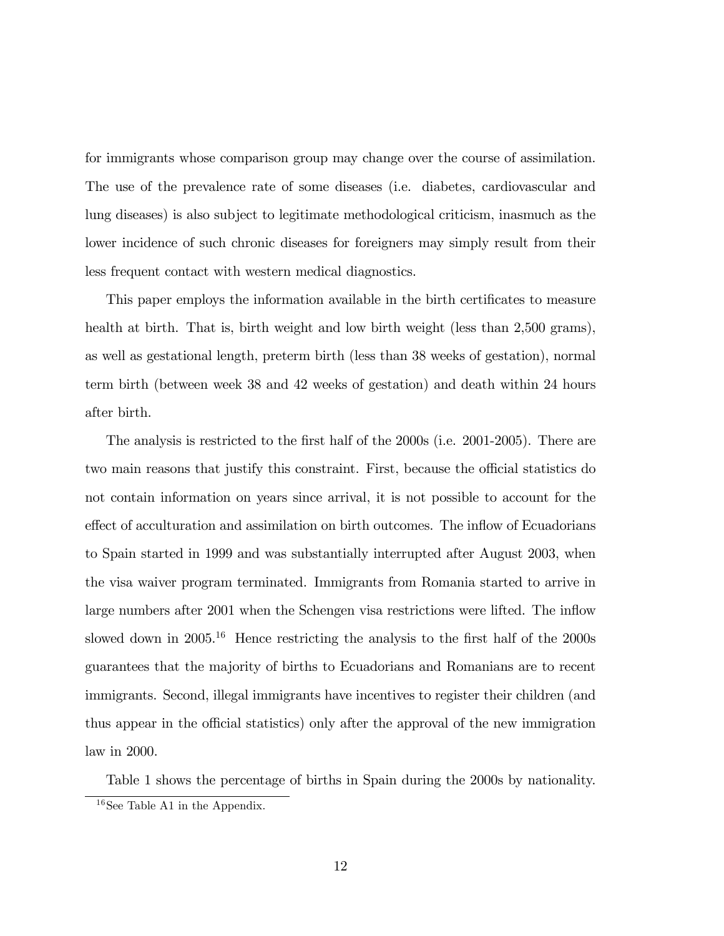for immigrants whose comparison group may change over the course of assimilation. The use of the prevalence rate of some diseases (i.e. diabetes, cardiovascular and lung diseases) is also subject to legitimate methodological criticism, inasmuch as the lower incidence of such chronic diseases for foreigners may simply result from their less frequent contact with western medical diagnostics.

This paper employs the information available in the birth certificates to measure health at birth. That is, birth weight and low birth weight (less than 2,500 grams), as well as gestational length, preterm birth (less than 38 weeks of gestation), normal term birth (between week 38 and 42 weeks of gestation) and death within 24 hours after birth.

The analysis is restricted to the first half of the 2000s (i.e. 2001-2005). There are two main reasons that justify this constraint. First, because the official statistics do not contain information on years since arrival, it is not possible to account for the effect of acculturation and assimilation on birth outcomes. The inflow of Ecuadorians to Spain started in 1999 and was substantially interrupted after August 2003, when the visa waiver program terminated. Immigrants from Romania started to arrive in large numbers after 2001 when the Schengen visa restrictions were lifted. The inflow slowed down in  $2005^{16}$  Hence restricting the analysis to the first half of the  $2000s$ guarantees that the majority of births to Ecuadorians and Romanians are to recent immigrants. Second, illegal immigrants have incentives to register their children (and thus appear in the official statistics) only after the approval of the new immigration law in 2000.

Table 1 shows the percentage of births in Spain during the 2000s by nationality.

<sup>16</sup>See Table A1 in the Appendix.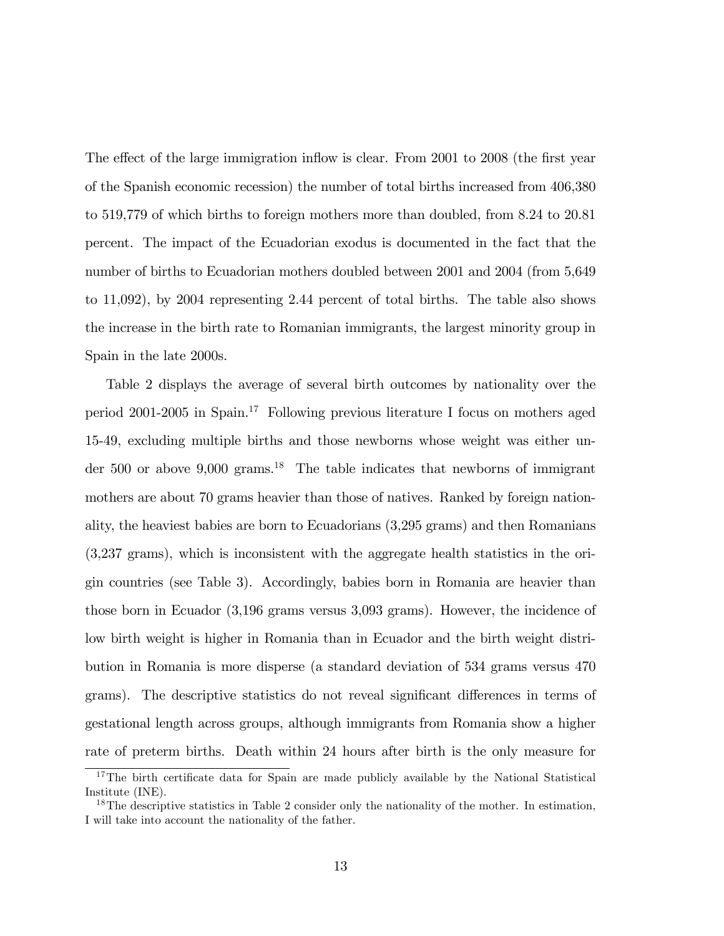The effect of the large immigration inflow is clear. From 2001 to 2008 (the first year of the Spanish economic recession) the number of total births increased from 406,380 to 519,779 of which births to foreign mothers more than doubled, from 8.24 to 20.81 percent. The impact of the Ecuadorian exodus is documented in the fact that the number of births to Ecuadorian mothers doubled between 2001 and 2004 (from 5,649 to 11,092), by 2004 representing 2.44 percent of total births. The table also shows the increase in the birth rate to Romanian immigrants, the largest minority group in Spain in the late 2000s.

Table 2 displays the average of several birth outcomes by nationality over the period 2001-2005 in Spain.<sup>17</sup> Following previous literature I focus on mothers aged 15-49, excluding multiple births and those newborns whose weight was either under 500 or above 9,000 grams.<sup>18</sup> The table indicates that newborns of immigrant mothers are about 70 grams heavier than those of natives. Ranked by foreign nationality, the heaviest babies are born to Ecuadorians (3,295 grams) and then Romanians (3,237 grams), which is inconsistent with the aggregate health statistics in the origin countries (see Table 3). Accordingly, babies born in Romania are heavier than those born in Ecuador (3,196 grams versus 3,093 grams). However, the incidence of low birth weight is higher in Romania than in Ecuador and the birth weight distribution in Romania is more disperse (a standard deviation of 534 grams versus 470 grams). The descriptive statistics do not reveal significant differences in terms of gestational length across groups, although immigrants from Romania show a higher rate of preterm births. Death within 24 hours after birth is the only measure for

<sup>&</sup>lt;sup>17</sup>The birth certificate data for Spain are made publicly available by the National Statistical Institute (INE).

 $18$ The descriptive statistics in Table 2 consider only the nationality of the mother. In estimation, I will take into account the nationality of the father.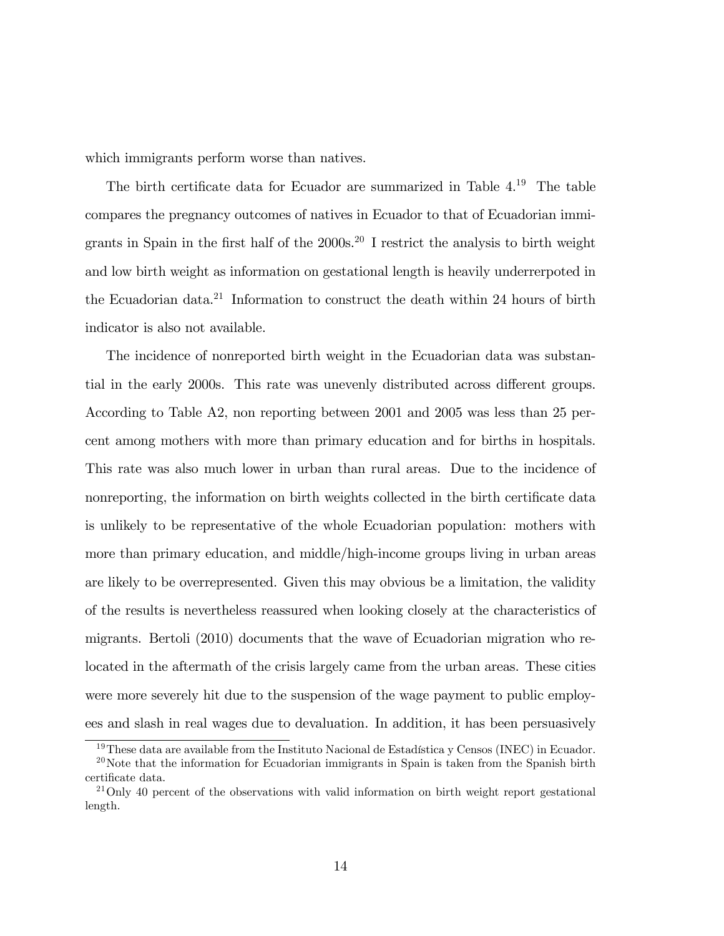which immigrants perform worse than natives.

The birth certificate data for Ecuador are summarized in Table  $4^{19}$ . The table compares the pregnancy outcomes of natives in Ecuador to that of Ecuadorian immigrants in Spain in the first half of the 2000s.<sup>20</sup> I restrict the analysis to birth weight and low birth weight as information on gestational length is heavily underrerpoted in the Ecuadorian data.<sup>21</sup> Information to construct the death within 24 hours of birth indicator is also not available.

The incidence of nonreported birth weight in the Ecuadorian data was substantial in the early 2000s. This rate was unevenly distributed across different groups. According to Table A2, non reporting between 2001 and 2005 was less than 25 percent among mothers with more than primary education and for births in hospitals. This rate was also much lower in urban than rural areas. Due to the incidence of nonreporting, the information on birth weights collected in the birth certificate data is unlikely to be representative of the whole Ecuadorian population: mothers with more than primary education, and middle/high-income groups living in urban areas are likely to be overrepresented. Given this may obvious be a limitation, the validity of the results is nevertheless reassured when looking closely at the characteristics of migrants. Bertoli (2010) documents that the wave of Ecuadorian migration who relocated in the aftermath of the crisis largely came from the urban areas. These cities were more severely hit due to the suspension of the wage payment to public employees and slash in real wages due to devaluation. In addition, it has been persuasively

<sup>&</sup>lt;sup>19</sup>These data are available from the Instituto Nacional de Estadística y Censos (INEC) in Ecuador.

 $^{20}$ Note that the information for Ecuadorian immigrants in Spain is taken from the Spanish birth certificate data.

 $^{21}$ Only 40 percent of the observations with valid information on birth weight report gestational length.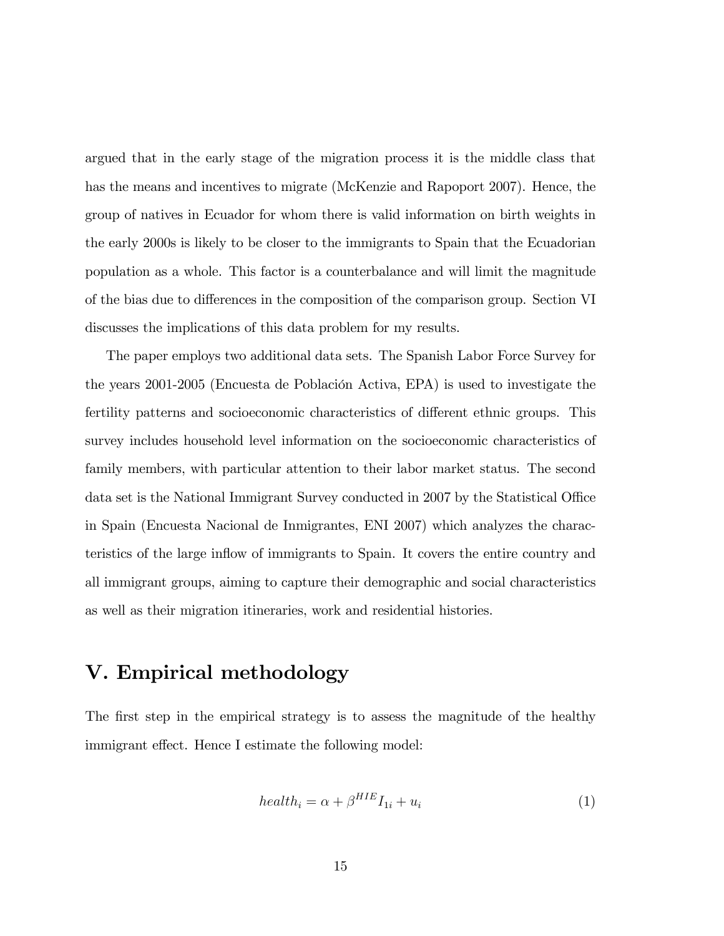argued that in the early stage of the migration process it is the middle class that has the means and incentives to migrate (McKenzie and Rapoport 2007). Hence, the group of natives in Ecuador for whom there is valid information on birth weights in the early 2000s is likely to be closer to the immigrants to Spain that the Ecuadorian population as a whole. This factor is a counterbalance and will limit the magnitude of the bias due to differences in the composition of the comparison group. Section VI discusses the implications of this data problem for my results.

The paper employs two additional data sets. The Spanish Labor Force Survey for the years 2001-2005 (Encuesta de Población Activa, EPA) is used to investigate the fertility patterns and socioeconomic characteristics of different ethnic groups. This survey includes household level information on the socioeconomic characteristics of family members, with particular attention to their labor market status. The second data set is the National Immigrant Survey conducted in 2007 by the Statistical Office in Spain (Encuesta Nacional de Inmigrantes, ENI 2007) which analyzes the characteristics of the large ináow of immigrants to Spain. It covers the entire country and all immigrant groups, aiming to capture their demographic and social characteristics as well as their migration itineraries, work and residential histories.

## V. Empirical methodology

The first step in the empirical strategy is to assess the magnitude of the healthy immigrant effect. Hence I estimate the following model:

$$
health_i = \alpha + \beta^{HIE} I_{1i} + u_i \tag{1}
$$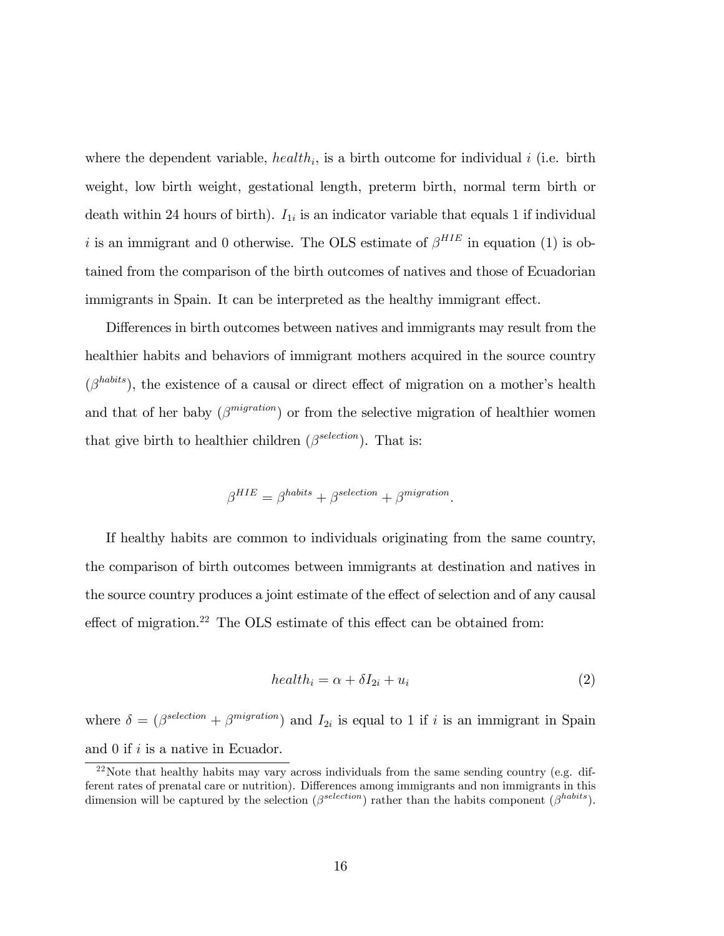where the dependent variable,  $\mathit{health}_i$ , is a birth outcome for individual i (i.e. birth weight, low birth weight, gestational length, preterm birth, normal term birth or death within 24 hours of birth).  $I_{1i}$  is an indicator variable that equals 1 if individual i is an immigrant and 0 otherwise. The OLS estimate of  $\beta^{HIE}$  in equation (1) is obtained from the comparison of the birth outcomes of natives and those of Ecuadorian immigrants in Spain. It can be interpreted as the healthy immigrant effect.

Differences in birth outcomes between natives and immigrants may result from the healthier habits and behaviors of immigrant mothers acquired in the source country  $(\beta^{habits})$ , the existence of a causal or direct effect of migration on a mother's health and that of her baby  $(\beta^{migration})$  or from the selective migration of healthier women that give birth to healthier children  $(\beta^{selection})$ . That is:

$$
\beta^{HIE} = \beta^{habits} + \beta^{selection} + \beta^{migration}.
$$

If healthy habits are common to individuals originating from the same country, the comparison of birth outcomes between immigrants at destination and natives in the source country produces a joint estimate of the effect of selection and of any causal effect of migration.<sup>22</sup> The OLS estimate of this effect can be obtained from:

$$
health_i = \alpha + \delta I_{2i} + u_i \tag{2}
$$

where  $\delta = (\beta^{selection} + \beta^{migration})$  and  $I_{2i}$  is equal to 1 if i is an immigrant in Spain and 0 if i is a native in Ecuador.

<sup>&</sup>lt;sup>22</sup>Note that healthy habits may vary across individuals from the same sending country (e.g. different rates of prenatal care or nutrition). Differences among immigrants and non immigrants in this dimension will be captured by the selection  $(\beta^{selection})$  rather than the habits component  $(\beta^{habits})$ .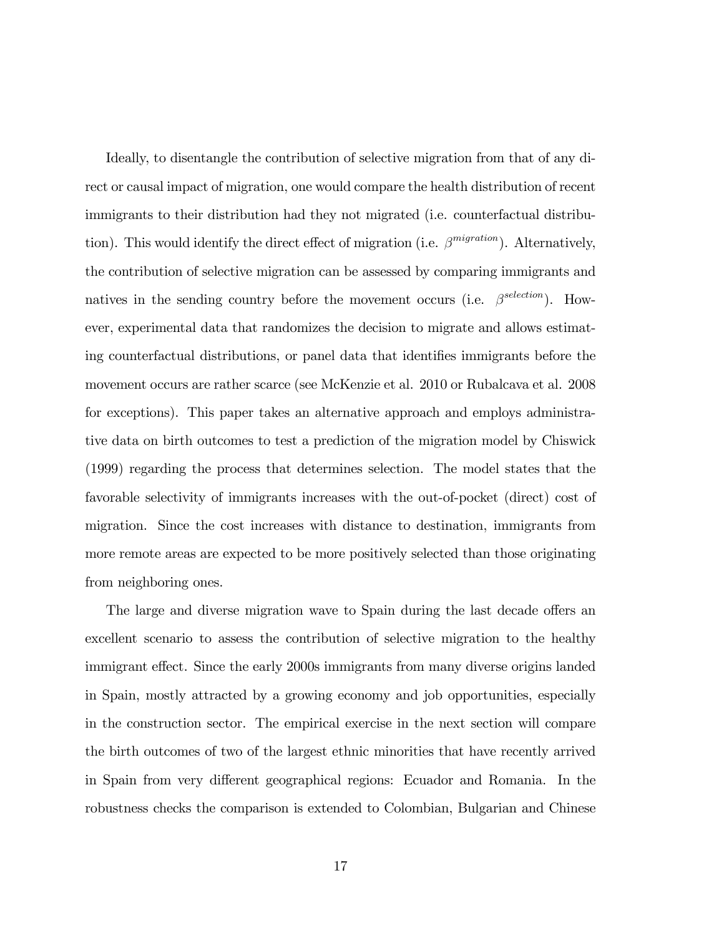Ideally, to disentangle the contribution of selective migration from that of any direct or causal impact of migration, one would compare the health distribution of recent immigrants to their distribution had they not migrated (i.e. counterfactual distribution). This would identify the direct effect of migration (i.e.  $\beta^{migration}$ ). Alternatively, the contribution of selective migration can be assessed by comparing immigrants and natives in the sending country before the movement occurs (i.e.  $\beta^{selection}$ ). However, experimental data that randomizes the decision to migrate and allows estimating counterfactual distributions, or panel data that identifies immigrants before the movement occurs are rather scarce (see McKenzie et al. 2010 or Rubalcava et al. 2008 for exceptions). This paper takes an alternative approach and employs administrative data on birth outcomes to test a prediction of the migration model by Chiswick (1999) regarding the process that determines selection. The model states that the favorable selectivity of immigrants increases with the out-of-pocket (direct) cost of migration. Since the cost increases with distance to destination, immigrants from more remote areas are expected to be more positively selected than those originating from neighboring ones.

The large and diverse migration wave to Spain during the last decade offers an excellent scenario to assess the contribution of selective migration to the healthy immigrant effect. Since the early 2000s immigrants from many diverse origins landed in Spain, mostly attracted by a growing economy and job opportunities, especially in the construction sector. The empirical exercise in the next section will compare the birth outcomes of two of the largest ethnic minorities that have recently arrived in Spain from very different geographical regions: Ecuador and Romania. In the robustness checks the comparison is extended to Colombian, Bulgarian and Chinese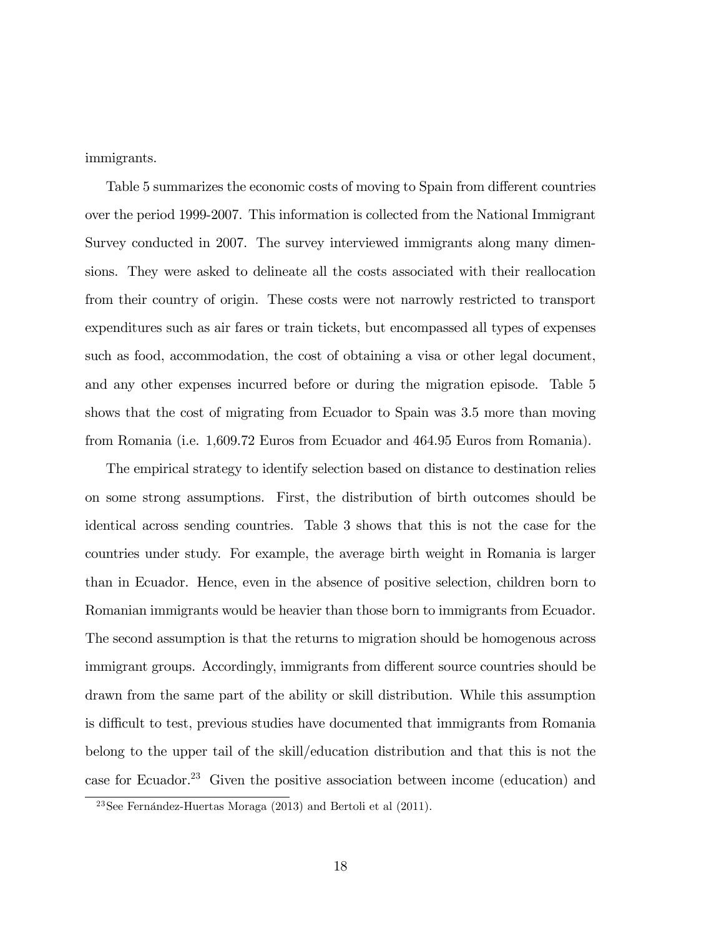immigrants.

Table 5 summarizes the economic costs of moving to Spain from different countries over the period 1999-2007. This information is collected from the National Immigrant Survey conducted in 2007. The survey interviewed immigrants along many dimensions. They were asked to delineate all the costs associated with their reallocation from their country of origin. These costs were not narrowly restricted to transport expenditures such as air fares or train tickets, but encompassed all types of expenses such as food, accommodation, the cost of obtaining a visa or other legal document, and any other expenses incurred before or during the migration episode. Table 5 shows that the cost of migrating from Ecuador to Spain was 3.5 more than moving from Romania (i.e. 1,609.72 Euros from Ecuador and 464.95 Euros from Romania).

The empirical strategy to identify selection based on distance to destination relies on some strong assumptions. First, the distribution of birth outcomes should be identical across sending countries. Table 3 shows that this is not the case for the countries under study. For example, the average birth weight in Romania is larger than in Ecuador. Hence, even in the absence of positive selection, children born to Romanian immigrants would be heavier than those born to immigrants from Ecuador. The second assumption is that the returns to migration should be homogenous across immigrant groups. Accordingly, immigrants from different source countries should be drawn from the same part of the ability or skill distribution. While this assumption is difficult to test, previous studies have documented that immigrants from Romania belong to the upper tail of the skill/education distribution and that this is not the case for Ecuador.<sup>23</sup> Given the positive association between income (education) and

<sup>&</sup>lt;sup>23</sup>See Fernández-Huertas Moraga (2013) and Bertoli et al (2011).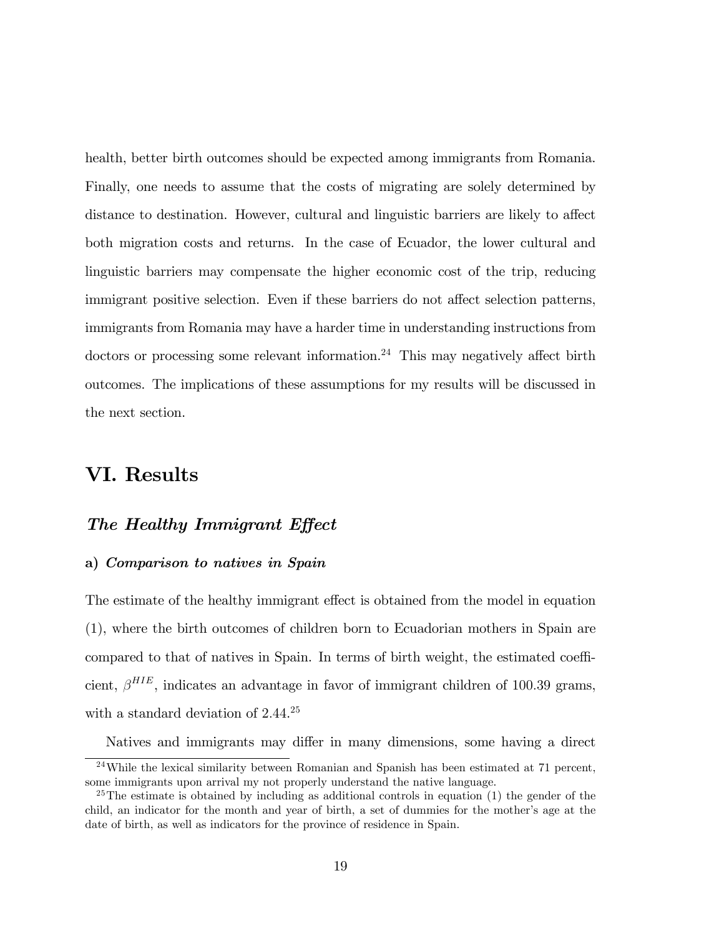health, better birth outcomes should be expected among immigrants from Romania. Finally, one needs to assume that the costs of migrating are solely determined by distance to destination. However, cultural and linguistic barriers are likely to affect both migration costs and returns. In the case of Ecuador, the lower cultural and linguistic barriers may compensate the higher economic cost of the trip, reducing immigrant positive selection. Even if these barriers do not affect selection patterns, immigrants from Romania may have a harder time in understanding instructions from doctors or processing some relevant information.<sup>24</sup> This may negatively affect birth outcomes. The implications of these assumptions for my results will be discussed in the next section.

# VI. Results

### The Healthy Immigrant Effect

#### a) Comparison to natives in Spain

The estimate of the healthy immigrant effect is obtained from the model in equation (1), where the birth outcomes of children born to Ecuadorian mothers in Spain are compared to that of natives in Spain. In terms of birth weight, the estimated coefficient,  $\beta^{HIE}$ , indicates an advantage in favor of immigrant children of 100.39 grams, with a standard deviation of 2.44.<sup>25</sup>

Natives and immigrants may differ in many dimensions, some having a direct

 $24$ While the lexical similarity between Romanian and Spanish has been estimated at 71 percent, some immigrants upon arrival my not properly understand the native language.

 $25$ The estimate is obtained by including as additional controls in equation (1) the gender of the child, an indicator for the month and year of birth, a set of dummies for the mother's age at the date of birth, as well as indicators for the province of residence in Spain.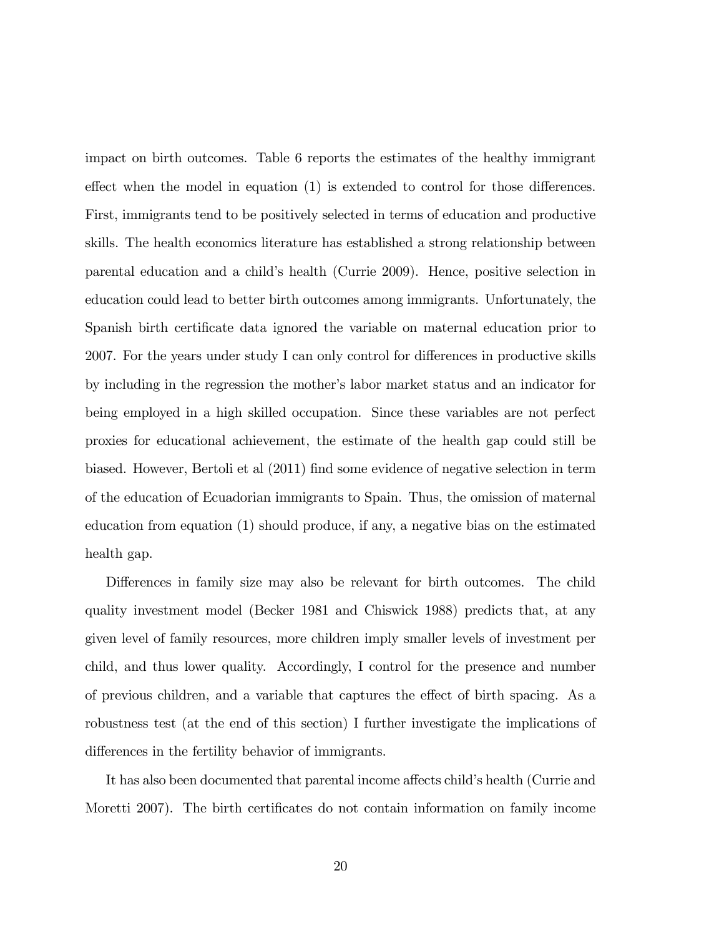impact on birth outcomes. Table 6 reports the estimates of the healthy immigrant effect when the model in equation  $(1)$  is extended to control for those differences. First, immigrants tend to be positively selected in terms of education and productive skills. The health economics literature has established a strong relationship between parental education and a child's health (Currie 2009). Hence, positive selection in education could lead to better birth outcomes among immigrants. Unfortunately, the Spanish birth certificate data ignored the variable on maternal education prior to 2007. For the years under study I can only control for differences in productive skills by including in the regression the motherís labor market status and an indicator for being employed in a high skilled occupation. Since these variables are not perfect proxies for educational achievement, the estimate of the health gap could still be biased. However, Bertoli et al (2011) Önd some evidence of negative selection in term of the education of Ecuadorian immigrants to Spain. Thus, the omission of maternal education from equation (1) should produce, if any, a negative bias on the estimated health gap.

Differences in family size may also be relevant for birth outcomes. The child quality investment model (Becker 1981 and Chiswick 1988) predicts that, at any given level of family resources, more children imply smaller levels of investment per child, and thus lower quality. Accordingly, I control for the presence and number of previous children, and a variable that captures the effect of birth spacing. As a robustness test (at the end of this section) I further investigate the implications of differences in the fertility behavior of immigrants.

It has also been documented that parental income affects child's health (Currie and Moretti 2007). The birth certificates do not contain information on family income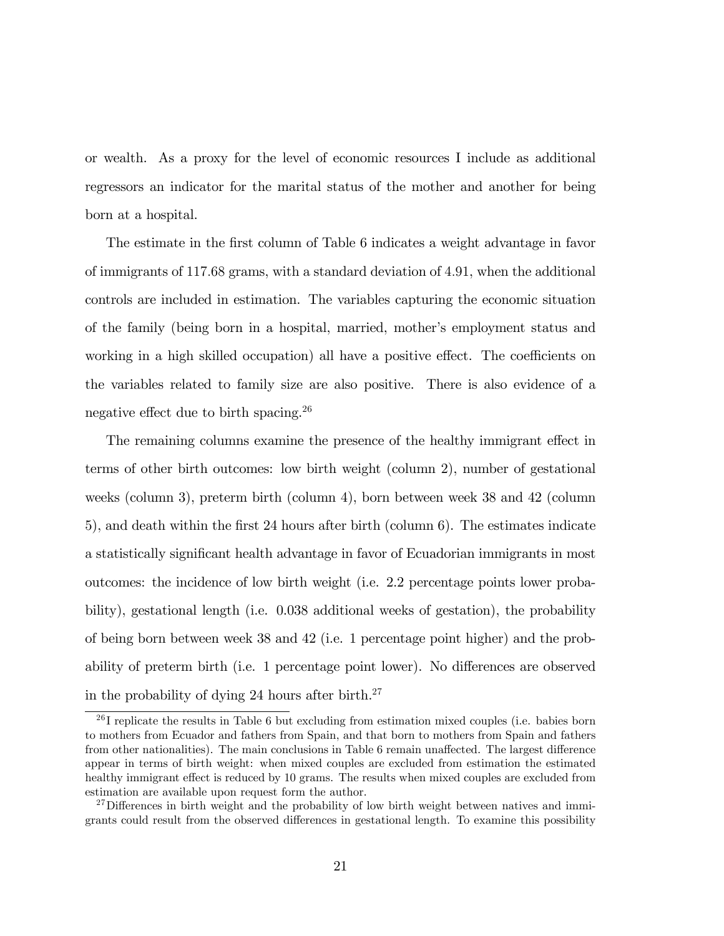or wealth. As a proxy for the level of economic resources I include as additional regressors an indicator for the marital status of the mother and another for being born at a hospital.

The estimate in the first column of Table 6 indicates a weight advantage in favor of immigrants of 117:68 grams, with a standard deviation of 4:91, when the additional controls are included in estimation. The variables capturing the economic situation of the family (being born in a hospital, married, mother's employment status and working in a high skilled occupation) all have a positive effect. The coefficients on the variables related to family size are also positive. There is also evidence of a negative effect due to birth spacing.<sup>26</sup>

The remaining columns examine the presence of the healthy immigrant effect in terms of other birth outcomes: low birth weight (column 2), number of gestational weeks (column 3), preterm birth (column 4), born between week 38 and 42 (column 5), and death within the Örst 24 hours after birth (column 6). The estimates indicate a statistically significant health advantage in favor of Ecuadorian immigrants in most outcomes: the incidence of low birth weight (i.e. 2.2 percentage points lower probability), gestational length (i.e. 0.038 additional weeks of gestation), the probability of being born between week 38 and 42 (i.e. 1 percentage point higher) and the probability of preterm birth (i.e. 1 percentage point lower). No differences are observed in the probability of dying 24 hours after birth.<sup>27</sup>

 $^{26}$ I replicate the results in Table 6 but excluding from estimation mixed couples (i.e. babies born to mothers from Ecuador and fathers from Spain, and that born to mothers from Spain and fathers from other nationalities). The main conclusions in Table 6 remain unaffected. The largest difference appear in terms of birth weight: when mixed couples are excluded from estimation the estimated healthy immigrant effect is reduced by 10 grams. The results when mixed couples are excluded from estimation are available upon request form the author.

 $27$ Differences in birth weight and the probability of low birth weight between natives and immigrants could result from the observed differences in gestational length. To examine this possibility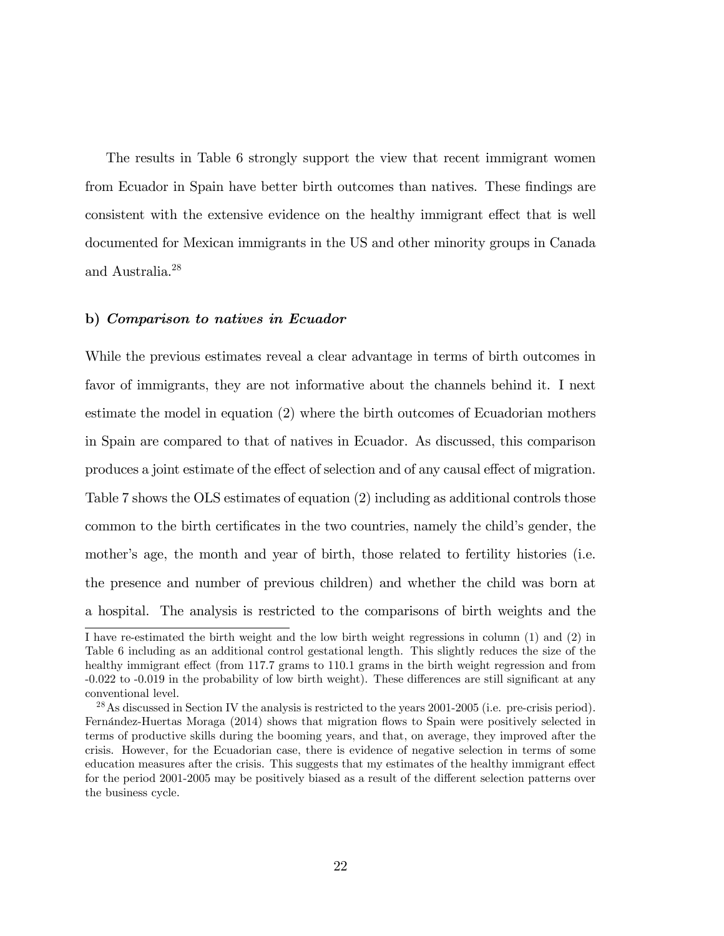The results in Table 6 strongly support the view that recent immigrant women from Ecuador in Spain have better birth outcomes than natives. These findings are consistent with the extensive evidence on the healthy immigrant effect that is well documented for Mexican immigrants in the US and other minority groups in Canada and Australia.<sup>28</sup>

#### b) Comparison to natives in Ecuador

While the previous estimates reveal a clear advantage in terms of birth outcomes in favor of immigrants, they are not informative about the channels behind it. I next estimate the model in equation (2) where the birth outcomes of Ecuadorian mothers in Spain are compared to that of natives in Ecuador. As discussed, this comparison produces a joint estimate of the effect of selection and of any causal effect of migration. Table 7 shows the OLS estimates of equation (2) including as additional controls those common to the birth certificates in the two countries, namely the child's gender, the mother's age, the month and year of birth, those related to fertility histories (i.e. the presence and number of previous children) and whether the child was born at a hospital. The analysis is restricted to the comparisons of birth weights and the

I have re-estimated the birth weight and the low birth weight regressions in column (1) and (2) in Table 6 including as an additional control gestational length. This slightly reduces the size of the healthy immigrant effect (from 117.7 grams to 110.1 grams in the birth weight regression and from  $-0.022$  to  $-0.019$  in the probability of low birth weight). These differences are still significant at any conventional level.

 $^{28}$ As discussed in Section IV the analysis is restricted to the years 2001-2005 (i.e. pre-crisis period). Fernández-Huertas Moraga (2014) shows that migration flows to Spain were positively selected in terms of productive skills during the booming years, and that, on average, they improved after the crisis. However, for the Ecuadorian case, there is evidence of negative selection in terms of some education measures after the crisis. This suggests that my estimates of the healthy immigrant effect for the period 2001-2005 may be positively biased as a result of the different selection patterns over the business cycle.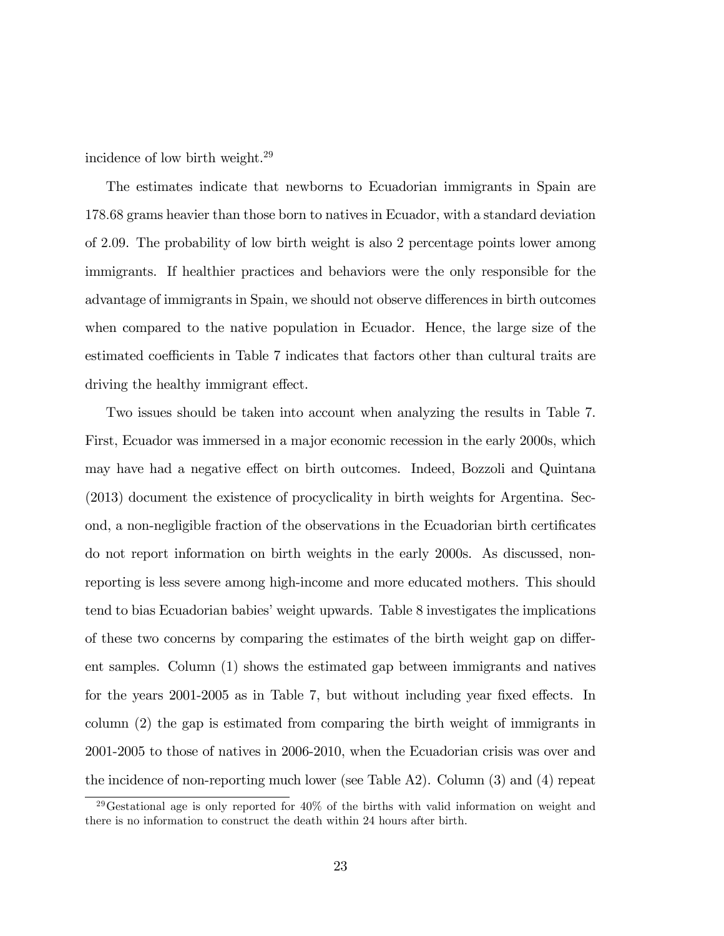incidence of low birth weight.<sup>29</sup>

The estimates indicate that newborns to Ecuadorian immigrants in Spain are 178:68 grams heavier than those born to natives in Ecuador, with a standard deviation of 2:09. The probability of low birth weight is also 2 percentage points lower among immigrants. If healthier practices and behaviors were the only responsible for the advantage of immigrants in Spain, we should not observe differences in birth outcomes when compared to the native population in Ecuador. Hence, the large size of the estimated coefficients in Table 7 indicates that factors other than cultural traits are driving the healthy immigrant effect.

Two issues should be taken into account when analyzing the results in Table 7. First, Ecuador was immersed in a major economic recession in the early 2000s, which may have had a negative effect on birth outcomes. Indeed, Bozzoli and Quintana (2013) document the existence of procyclicality in birth weights for Argentina. Second, a non-negligible fraction of the observations in the Ecuadorian birth certificates do not report information on birth weights in the early 2000s. As discussed, nonreporting is less severe among high-income and more educated mothers. This should tend to bias Ecuadorian babies' weight upwards. Table 8 investigates the implications of these two concerns by comparing the estimates of the birth weight gap on different samples. Column (1) shows the estimated gap between immigrants and natives for the years  $2001-2005$  as in Table 7, but without including year fixed effects. In column (2) the gap is estimated from comparing the birth weight of immigrants in 2001-2005 to those of natives in 2006-2010, when the Ecuadorian crisis was over and the incidence of non-reporting much lower (see Table A2). Column (3) and (4) repeat

<sup>&</sup>lt;sup>29</sup>Gestational age is only reported for  $40\%$  of the births with valid information on weight and there is no information to construct the death within 24 hours after birth.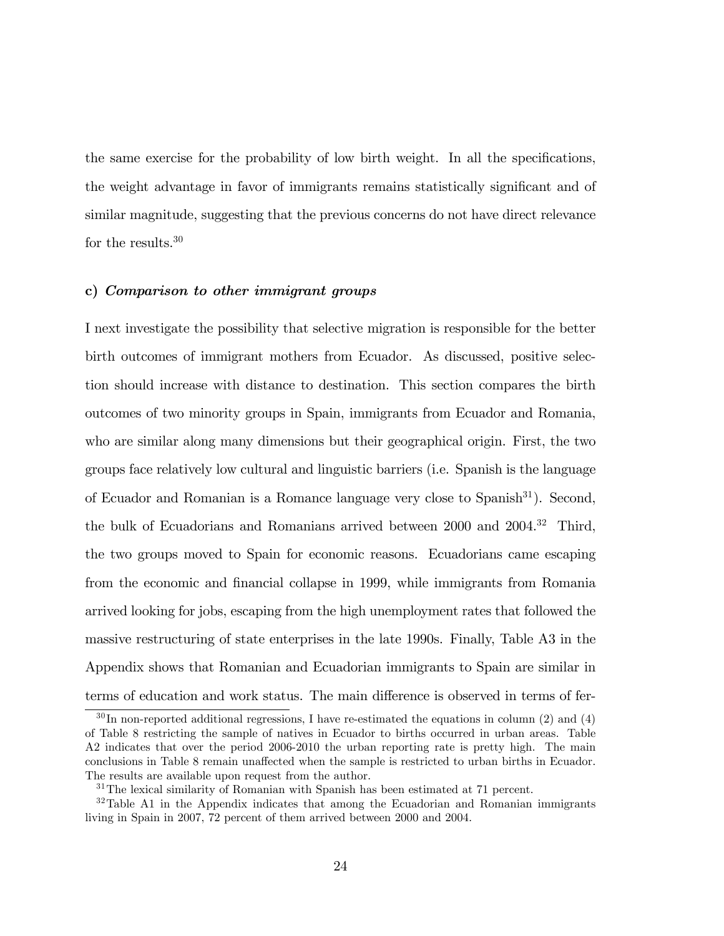the same exercise for the probability of low birth weight. In all the specifications, the weight advantage in favor of immigrants remains statistically significant and of similar magnitude, suggesting that the previous concerns do not have direct relevance for the results.<sup>30</sup>

#### c) Comparison to other immigrant groups

I next investigate the possibility that selective migration is responsible for the better birth outcomes of immigrant mothers from Ecuador. As discussed, positive selection should increase with distance to destination. This section compares the birth outcomes of two minority groups in Spain, immigrants from Ecuador and Romania, who are similar along many dimensions but their geographical origin. First, the two groups face relatively low cultural and linguistic barriers (i.e. Spanish is the language of Ecuador and Romanian is a Romance language very close to Spanish<sup>31</sup>). Second, the bulk of Ecuadorians and Romanians arrived between 2000 and 2004.<sup>32</sup> Third, the two groups moved to Spain for economic reasons. Ecuadorians came escaping from the economic and financial collapse in 1999, while immigrants from Romania arrived looking for jobs, escaping from the high unemployment rates that followed the massive restructuring of state enterprises in the late 1990s. Finally, Table A3 in the Appendix shows that Romanian and Ecuadorian immigrants to Spain are similar in terms of education and work status. The main difference is observed in terms of fer-

 $30 \text{ In non-reported additional regressions, I have re-estimated the equations in column (2) and (4)$ of Table 8 restricting the sample of natives in Ecuador to births occurred in urban areas. Table A2 indicates that over the period 2006-2010 the urban reporting rate is pretty high. The main conclusions in Table 8 remain unaffected when the sample is restricted to urban births in Ecuador. The results are available upon request from the author.

<sup>&</sup>lt;sup>31</sup>The lexical similarity of Romanian with Spanish has been estimated at 71 percent.

 $32$ Table A1 in the Appendix indicates that among the Ecuadorian and Romanian immigrants living in Spain in 2007, 72 percent of them arrived between 2000 and 2004.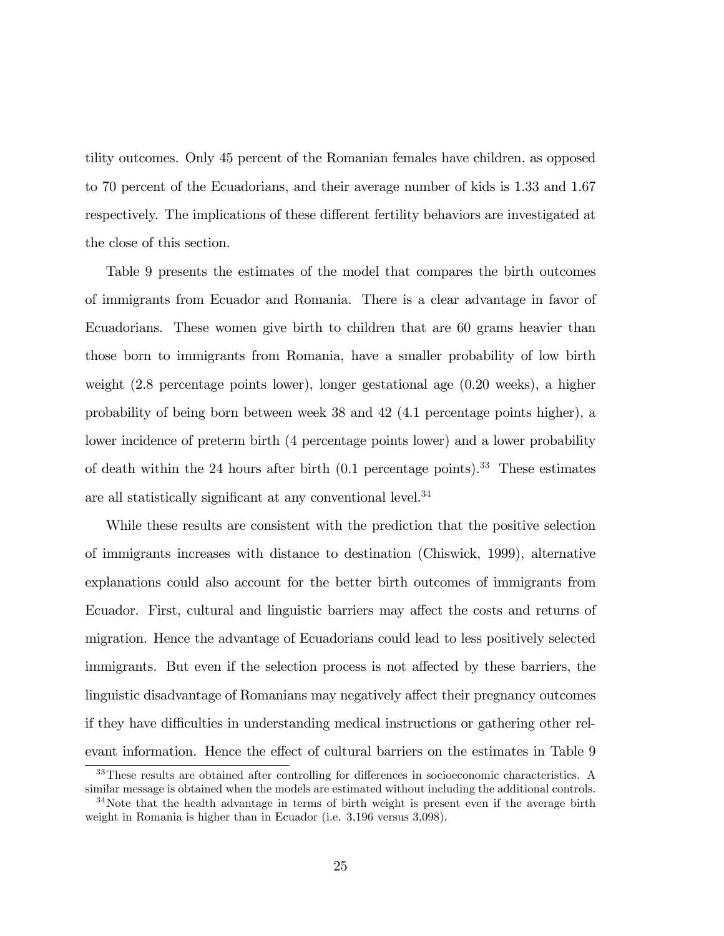tility outcomes. Only 45 percent of the Romanian females have children, as opposed to 70 percent of the Ecuadorians, and their average number of kids is 1.33 and 1.67 respectively. The implications of these different fertility behaviors are investigated at the close of this section.

Table 9 presents the estimates of the model that compares the birth outcomes of immigrants from Ecuador and Romania. There is a clear advantage in favor of Ecuadorians. These women give birth to children that are 60 grams heavier than those born to immigrants from Romania, have a smaller probability of low birth weight (2.8 percentage points lower), longer gestational age (0.20 weeks), a higher probability of being born between week 38 and 42 (4.1 percentage points higher), a lower incidence of preterm birth (4 percentage points lower) and a lower probability of death within the 24 hours after birth  $(0.1 \text{ percentage points})$ .<sup>33</sup> These estimates are all statistically significant at any conventional level.<sup>34</sup>

While these results are consistent with the prediction that the positive selection of immigrants increases with distance to destination (Chiswick, 1999), alternative explanations could also account for the better birth outcomes of immigrants from Ecuador. First, cultural and linguistic barriers may affect the costs and returns of migration. Hence the advantage of Ecuadorians could lead to less positively selected immigrants. But even if the selection process is not affected by these barriers, the linguistic disadvantage of Romanians may negatively affect their pregnancy outcomes if they have difficulties in understanding medical instructions or gathering other relevant information. Hence the effect of cultural barriers on the estimates in Table 9

<sup>&</sup>lt;sup>33</sup>These results are obtained after controlling for differences in socioeconomic characteristics. A similar message is obtained when the models are estimated without including the additional controls.

 $34$ Note that the health advantage in terms of birth weight is present even if the average birth weight in Romania is higher than in Ecuador (i.e. 3,196 versus 3,098).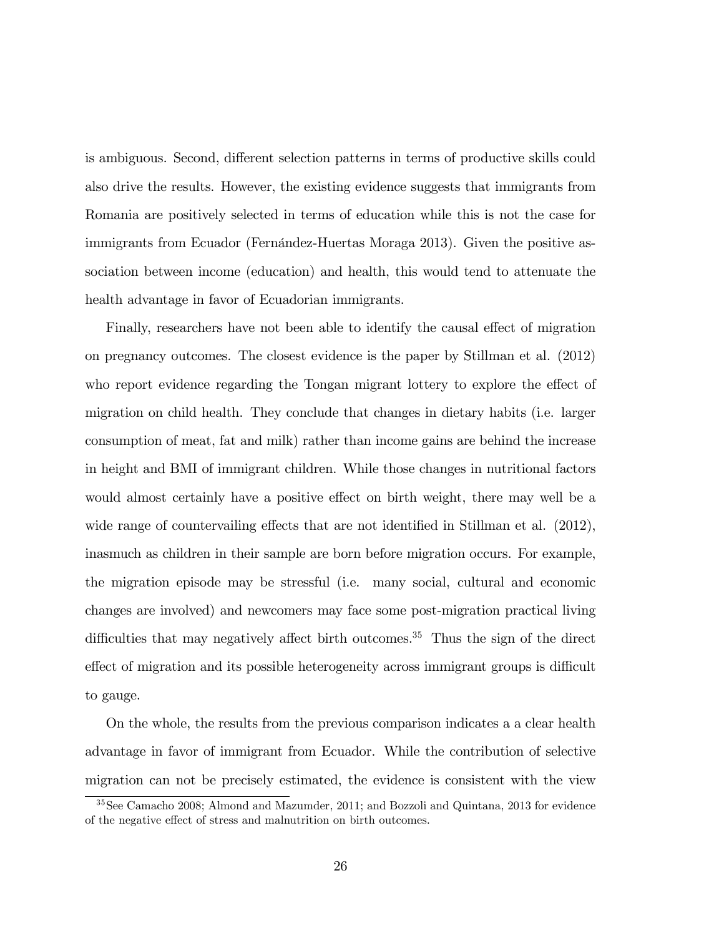is ambiguous. Second, different selection patterns in terms of productive skills could also drive the results. However, the existing evidence suggests that immigrants from Romania are positively selected in terms of education while this is not the case for immigrants from Ecuador (Fernández-Huertas Moraga 2013). Given the positive association between income (education) and health, this would tend to attenuate the health advantage in favor of Ecuadorian immigrants.

Finally, researchers have not been able to identify the causal effect of migration on pregnancy outcomes. The closest evidence is the paper by Stillman et al. (2012) who report evidence regarding the Tongan migrant lottery to explore the effect of migration on child health. They conclude that changes in dietary habits (i.e. larger consumption of meat, fat and milk) rather than income gains are behind the increase in height and BMI of immigrant children. While those changes in nutritional factors would almost certainly have a positive effect on birth weight, there may well be a wide range of countervailing effects that are not identified in Stillman et al.  $(2012)$ , inasmuch as children in their sample are born before migration occurs. For example, the migration episode may be stressful (i.e. many social, cultural and economic changes are involved) and newcomers may face some post-migration practical living difficulties that may negatively affect birth outcomes.<sup>35</sup> Thus the sign of the direct effect of migration and its possible heterogeneity across immigrant groups is difficult to gauge.

On the whole, the results from the previous comparison indicates a a clear health advantage in favor of immigrant from Ecuador. While the contribution of selective migration can not be precisely estimated, the evidence is consistent with the view

<sup>35</sup>See Camacho 2008; Almond and Mazumder, 2011; and Bozzoli and Quintana, 2013 for evidence of the negative effect of stress and malnutrition on birth outcomes.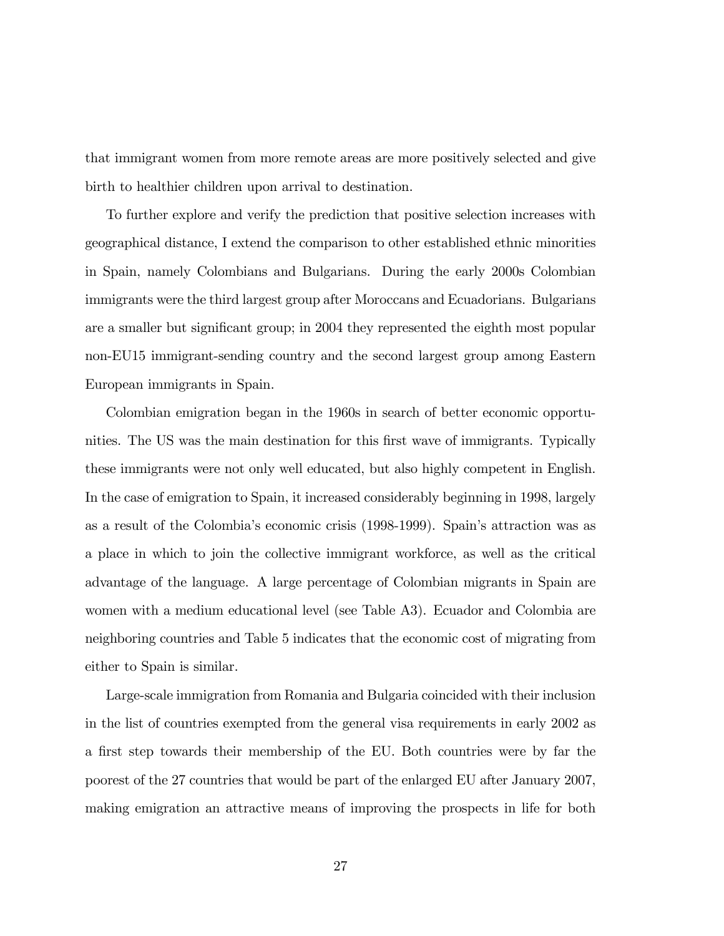that immigrant women from more remote areas are more positively selected and give birth to healthier children upon arrival to destination.

To further explore and verify the prediction that positive selection increases with geographical distance, I extend the comparison to other established ethnic minorities in Spain, namely Colombians and Bulgarians. During the early 2000s Colombian immigrants were the third largest group after Moroccans and Ecuadorians. Bulgarians are a smaller but significant group; in 2004 they represented the eighth most popular non-EU15 immigrant-sending country and the second largest group among Eastern European immigrants in Spain.

Colombian emigration began in the 1960s in search of better economic opportunities. The US was the main destination for this first wave of immigrants. Typically these immigrants were not only well educated, but also highly competent in English. In the case of emigration to Spain, it increased considerably beginning in 1998, largely as a result of the Colombiaís economic crisis (1998-1999). Spainís attraction was as a place in which to join the collective immigrant workforce, as well as the critical advantage of the language. A large percentage of Colombian migrants in Spain are women with a medium educational level (see Table A3). Ecuador and Colombia are neighboring countries and Table 5 indicates that the economic cost of migrating from either to Spain is similar.

Large-scale immigration from Romania and Bulgaria coincided with their inclusion in the list of countries exempted from the general visa requirements in early 2002 as a first step towards their membership of the EU. Both countries were by far the poorest of the 27 countries that would be part of the enlarged EU after January 2007, making emigration an attractive means of improving the prospects in life for both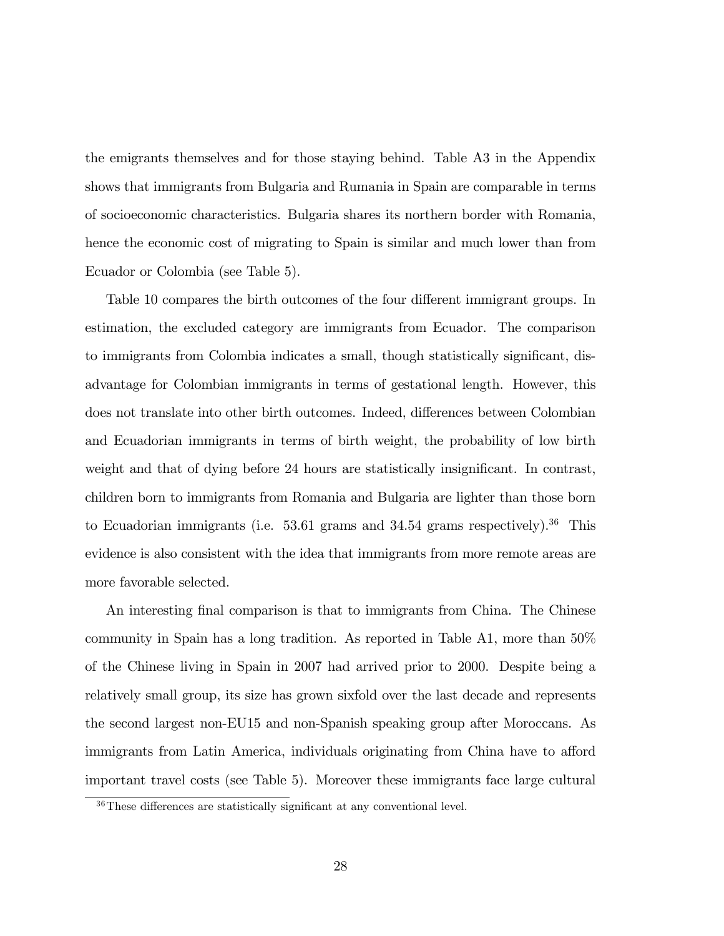the emigrants themselves and for those staying behind. Table A3 in the Appendix shows that immigrants from Bulgaria and Rumania in Spain are comparable in terms of socioeconomic characteristics. Bulgaria shares its northern border with Romania, hence the economic cost of migrating to Spain is similar and much lower than from Ecuador or Colombia (see Table 5).

Table 10 compares the birth outcomes of the four different immigrant groups. In estimation, the excluded category are immigrants from Ecuador. The comparison to immigrants from Colombia indicates a small, though statistically significant, disadvantage for Colombian immigrants in terms of gestational length. However, this does not translate into other birth outcomes. Indeed, differences between Colombian and Ecuadorian immigrants in terms of birth weight, the probability of low birth weight and that of dying before 24 hours are statistically insignificant. In contrast, children born to immigrants from Romania and Bulgaria are lighter than those born to Ecuadorian immigrants (i.e.  $53.61$  grams and  $34.54$  grams respectively).<sup>36</sup> This evidence is also consistent with the idea that immigrants from more remote areas are more favorable selected.

An interesting final comparison is that to immigrants from China. The Chinese community in Spain has a long tradition. As reported in Table A1, more than 50% of the Chinese living in Spain in 2007 had arrived prior to 2000. Despite being a relatively small group, its size has grown sixfold over the last decade and represents the second largest non-EU15 and non-Spanish speaking group after Moroccans. As immigrants from Latin America, individuals originating from China have to afford important travel costs (see Table 5). Moreover these immigrants face large cultural

 $36$ These differences are statistically significant at any conventional level.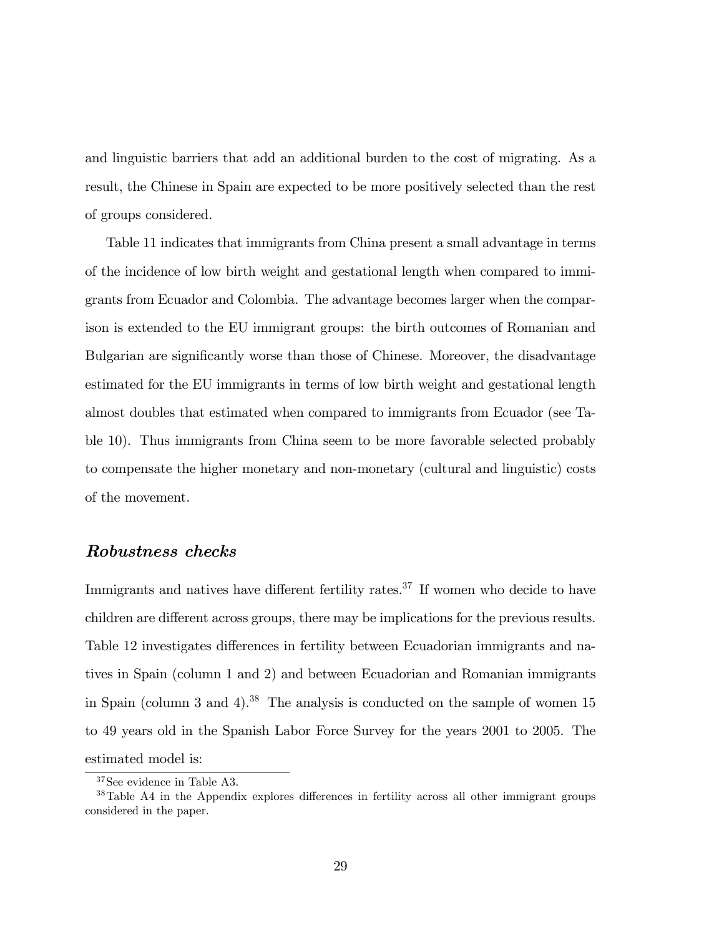and linguistic barriers that add an additional burden to the cost of migrating. As a result, the Chinese in Spain are expected to be more positively selected than the rest of groups considered.

Table 11 indicates that immigrants from China present a small advantage in terms of the incidence of low birth weight and gestational length when compared to immigrants from Ecuador and Colombia. The advantage becomes larger when the comparison is extended to the EU immigrant groups: the birth outcomes of Romanian and Bulgarian are significantly worse than those of Chinese. Moreover, the disadvantage estimated for the EU immigrants in terms of low birth weight and gestational length almost doubles that estimated when compared to immigrants from Ecuador (see Table 10). Thus immigrants from China seem to be more favorable selected probably to compensate the higher monetary and non-monetary (cultural and linguistic) costs of the movement.

### Robustness checks

Immigrants and natives have different fertility rates. $37$  If women who decide to have children are different across groups, there may be implications for the previous results. Table 12 investigates differences in fertility between Ecuadorian immigrants and natives in Spain (column 1 and 2) and between Ecuadorian and Romanian immigrants in Spain (column 3 and 4).<sup>38</sup> The analysis is conducted on the sample of women  $15$ to 49 years old in the Spanish Labor Force Survey for the years 2001 to 2005. The estimated model is:

<sup>37</sup>See evidence in Table A3.

 $38$ Table A4 in the Appendix explores differences in fertility across all other immigrant groups considered in the paper.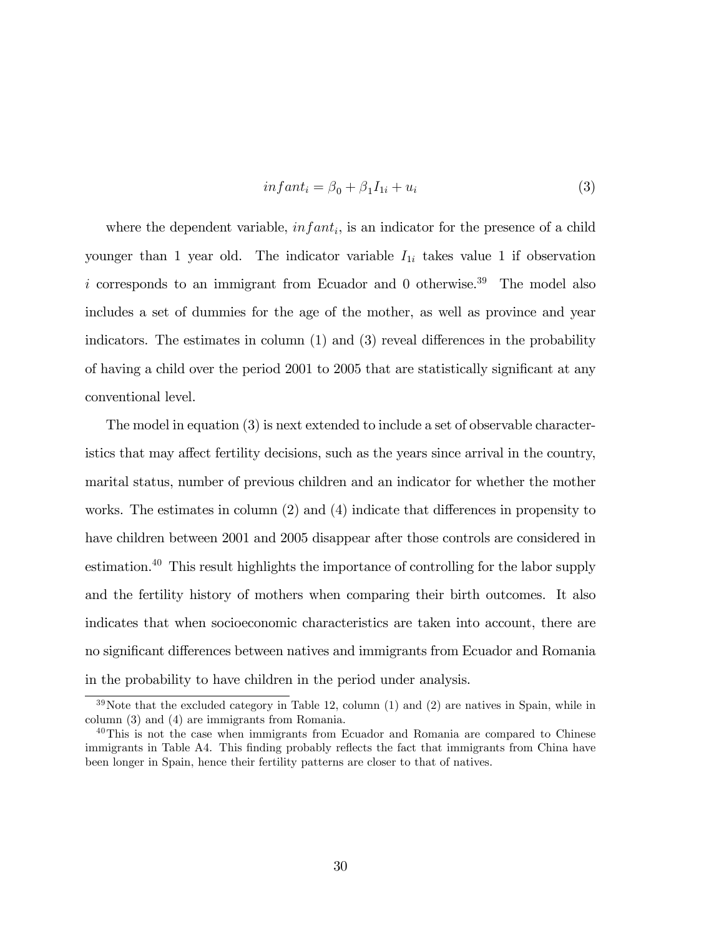$$
infant_i = \beta_0 + \beta_1 I_{1i} + u_i \tag{3}
$$

where the dependent variable,  $\text{in} fant_i$ , is an indicator for the presence of a child younger than 1 year old. The indicator variable  $I_{1i}$  takes value 1 if observation i corresponds to an immigrant from Ecuador and  $\theta$  otherwise.<sup>39</sup> The model also includes a set of dummies for the age of the mother, as well as province and year indicators. The estimates in column  $(1)$  and  $(3)$  reveal differences in the probability of having a child over the period 2001 to 2005 that are statistically significant at any conventional level.

The model in equation (3) is next extended to include a set of observable characteristics that may affect fertility decisions, such as the years since arrival in the country, marital status, number of previous children and an indicator for whether the mother works. The estimates in column  $(2)$  and  $(4)$  indicate that differences in propensity to have children between 2001 and 2005 disappear after those controls are considered in estimation.<sup>40</sup> This result highlights the importance of controlling for the labor supply and the fertility history of mothers when comparing their birth outcomes. It also indicates that when socioeconomic characteristics are taken into account, there are no significant differences between natives and immigrants from Ecuador and Romania in the probability to have children in the period under analysis.

 $39\,\text{Note that the excluded category in Table 12, column (1) and (2) are natives in Spain, while in$ column (3) and (4) are immigrants from Romania.

<sup>&</sup>lt;sup>40</sup>This is not the case when immigrants from Ecuador and Romania are compared to Chinese immigrants in Table A4. This finding probably reflects the fact that immigrants from China have been longer in Spain, hence their fertility patterns are closer to that of natives.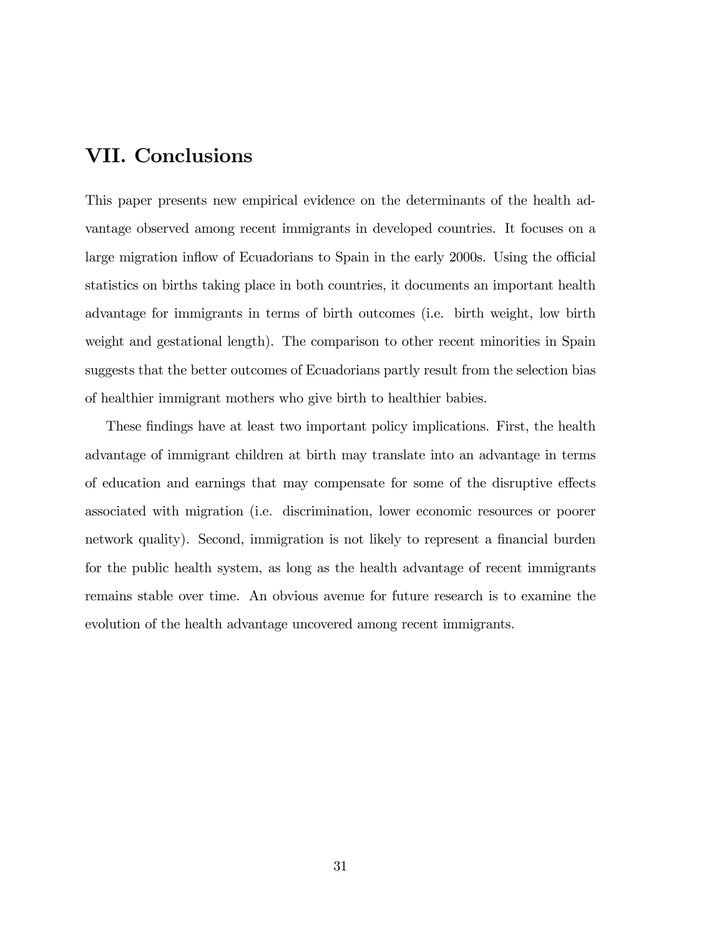# VII. Conclusions

This paper presents new empirical evidence on the determinants of the health advantage observed among recent immigrants in developed countries. It focuses on a large migration inflow of Ecuadorians to Spain in the early 2000s. Using the official statistics on births taking place in both countries, it documents an important health advantage for immigrants in terms of birth outcomes (i.e. birth weight, low birth weight and gestational length). The comparison to other recent minorities in Spain suggests that the better outcomes of Ecuadorians partly result from the selection bias of healthier immigrant mothers who give birth to healthier babies.

These findings have at least two important policy implications. First, the health advantage of immigrant children at birth may translate into an advantage in terms of education and earnings that may compensate for some of the disruptive effects associated with migration (i.e. discrimination, lower economic resources or poorer network quality). Second, immigration is not likely to represent a financial burden for the public health system, as long as the health advantage of recent immigrants remains stable over time. An obvious avenue for future research is to examine the evolution of the health advantage uncovered among recent immigrants.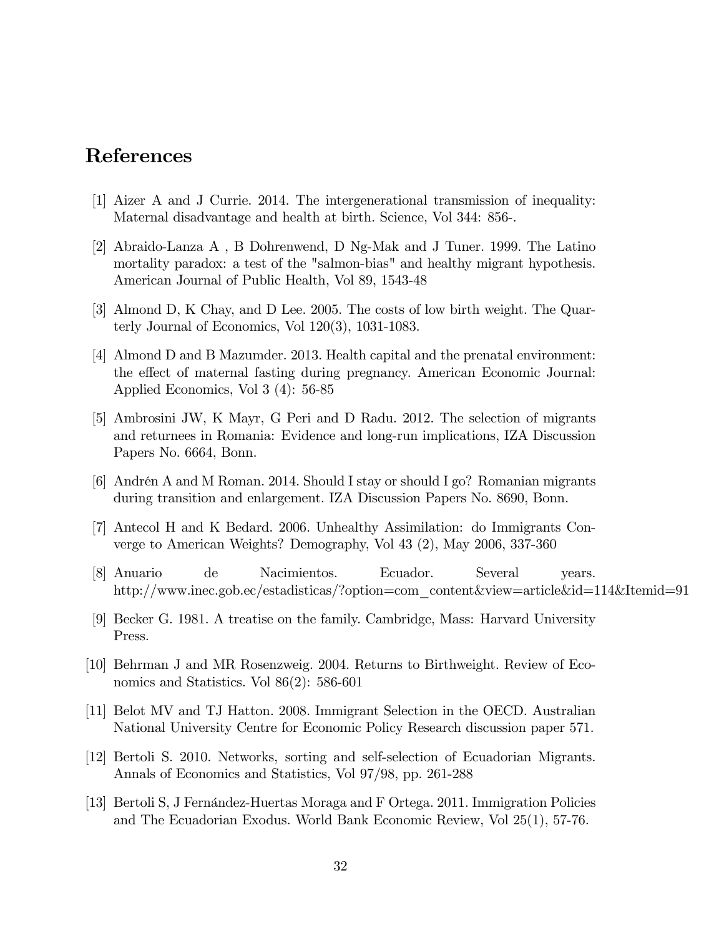### References

- [1] Aizer A and J Currie. 2014. The intergenerational transmission of inequality: Maternal disadvantage and health at birth. Science, Vol 344: 856-.
- [2] Abraido-Lanza A , B Dohrenwend, D Ng-Mak and J Tuner. 1999. The Latino mortality paradox: a test of the "salmon-bias" and healthy migrant hypothesis. American Journal of Public Health, Vol 89, 1543-48
- [3] Almond D, K Chay, and D Lee. 2005. The costs of low birth weight. The Quarterly Journal of Economics, Vol 120(3), 1031-1083.
- [4] Almond D and B Mazumder. 2013. Health capital and the prenatal environment: the effect of maternal fasting during pregnancy. American Economic Journal: Applied Economics, Vol 3 (4): 56-85
- [5] Ambrosini JW, K Mayr, G Peri and D Radu. 2012. The selection of migrants and returnees in Romania: Evidence and long-run implications, IZA Discussion Papers No. 6664, Bonn.
- [6] Andrén A and M Roman. 2014. Should I stay or should I go? Romanian migrants during transition and enlargement. IZA Discussion Papers No. 8690, Bonn.
- [7] Antecol H and K Bedard. 2006. Unhealthy Assimilation: do Immigrants Converge to American Weights? Demography, Vol 43 (2), May 2006, 337-360
- [8] Anuario de Nacimientos. Ecuador. Several years. http://www.inec.gob.ec/estadisticas/?option=com\_content&view=article&id=114&Itemid=91
- [9] Becker G. 1981. A treatise on the family. Cambridge, Mass: Harvard University Press.
- [10] Behrman J and MR Rosenzweig. 2004. Returns to Birthweight. Review of Economics and Statistics. Vol 86(2): 586-601
- [11] Belot MV and TJ Hatton. 2008. Immigrant Selection in the OECD. Australian National University Centre for Economic Policy Research discussion paper 571.
- [12] Bertoli S. 2010. Networks, sorting and self-selection of Ecuadorian Migrants. Annals of Economics and Statistics, Vol 97/98, pp. 261-288
- [13] Bertoli S, J Fernández-Huertas Moraga and F Ortega. 2011. Immigration Policies and The Ecuadorian Exodus. World Bank Economic Review, Vol 25(1), 57-76.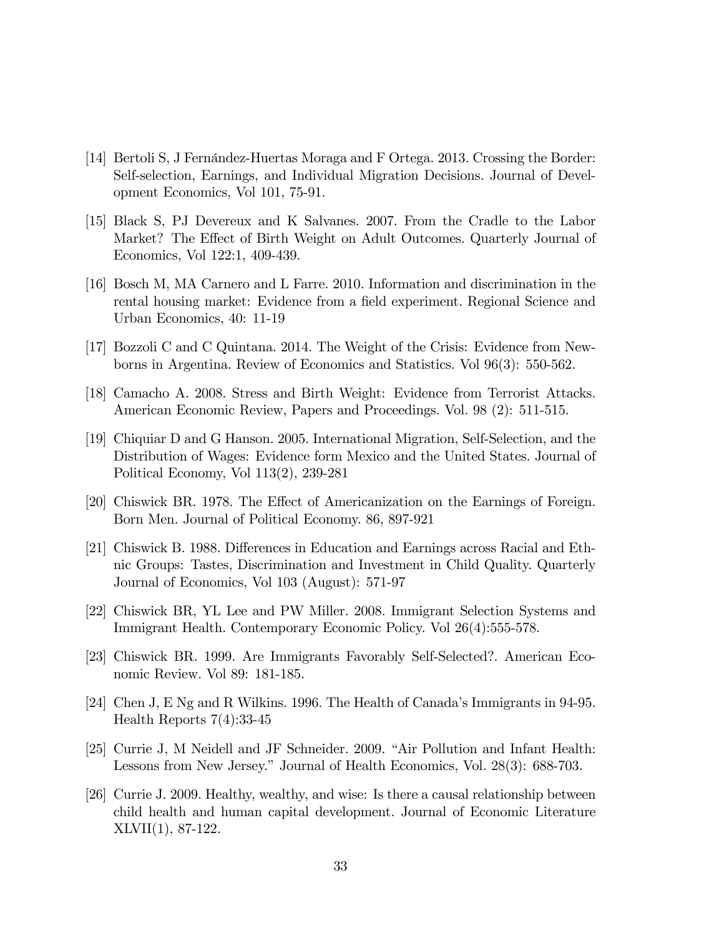- [14] Bertoli S, J Fernández-Huertas Moraga and F Ortega. 2013. Crossing the Border: Self-selection, Earnings, and Individual Migration Decisions. Journal of Development Economics, Vol 101, 75-91.
- [15] Black S, PJ Devereux and K Salvanes. 2007. From the Cradle to the Labor Market? The Effect of Birth Weight on Adult Outcomes. Quarterly Journal of Economics, Vol 122:1, 409-439.
- [16] Bosch M, MA Carnero and L Farre. 2010. Information and discrimination in the rental housing market: Evidence from a field experiment. Regional Science and Urban Economics, 40: 11-19
- [17] Bozzoli C and C Quintana. 2014. The Weight of the Crisis: Evidence from Newborns in Argentina. Review of Economics and Statistics. Vol 96(3): 550-562.
- [18] Camacho A. 2008. Stress and Birth Weight: Evidence from Terrorist Attacks. American Economic Review, Papers and Proceedings. Vol. 98 (2): 511-515.
- [19] Chiquiar D and G Hanson. 2005. International Migration, Self-Selection, and the Distribution of Wages: Evidence form Mexico and the United States. Journal of Political Economy, Vol 113(2), 239-281
- [20] Chiswick BR. 1978. The Effect of Americanization on the Earnings of Foreign. Born Men. Journal of Political Economy. 86, 897-921
- [21] Chiswick B. 1988. Differences in Education and Earnings across Racial and Ethnic Groups: Tastes, Discrimination and Investment in Child Quality. Quarterly Journal of Economics, Vol 103 (August): 571-97
- [22] Chiswick BR, YL Lee and PW Miller. 2008. Immigrant Selection Systems and Immigrant Health. Contemporary Economic Policy. Vol 26(4):555-578.
- [23] Chiswick BR. 1999. Are Immigrants Favorably Self-Selected?. American Economic Review. Vol 89: 181-185.
- [24] Chen J, E Ng and R Wilkins. 1996. The Health of Canada's Immigrants in 94-95. Health Reports 7(4):33-45
- [25] Currie J, M Neidell and JF Schneider. 2009. "Air Pollution and Infant Health: Lessons from New Jersey." Journal of Health Economics, Vol. 28(3): 688-703.
- [26] Currie J. 2009. Healthy, wealthy, and wise: Is there a causal relationship between child health and human capital development. Journal of Economic Literature XLVII(1), 87-122.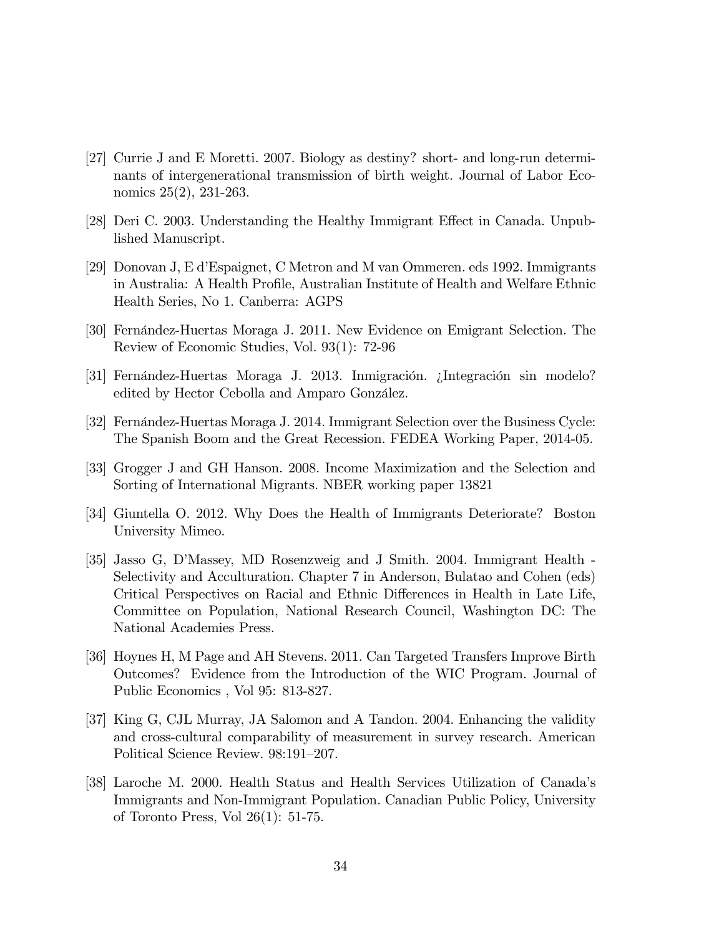- [27] Currie J and E Moretti. 2007. Biology as destiny? short- and long-run determinants of intergenerational transmission of birth weight. Journal of Labor Economics 25(2), 231-263.
- [28] Deri C. 2003. Understanding the Healthy Immigrant Effect in Canada. Unpublished Manuscript.
- [29] Donovan J, E díEspaignet, C Metron and M van Ommeren. eds 1992. Immigrants in Australia: A Health Profile, Australian Institute of Health and Welfare Ethnic Health Series, No 1. Canberra: AGPS
- [30] Fernandez-Huertas Moraga J. 2011. New Evidence on Emigrant Selection. The Review of Economic Studies, Vol. 93(1): 72-96
- [31] Fernández-Huertas Moraga J. 2013. Inmigración. ¿Integración sin modelo? edited by Hector Cebolla and Amparo González.
- [32] Fernández-Huertas Moraga J. 2014. Immigrant Selection over the Business Cycle: The Spanish Boom and the Great Recession. FEDEA Working Paper, 2014-05.
- [33] Grogger J and GH Hanson. 2008. Income Maximization and the Selection and Sorting of International Migrants. NBER working paper 13821
- [34] Giuntella O. 2012. Why Does the Health of Immigrants Deteriorate? Boston University Mimeo.
- [35] Jasso G, DíMassey, MD Rosenzweig and J Smith. 2004. Immigrant Health Selectivity and Acculturation. Chapter 7 in Anderson, Bulatao and Cohen (eds) Critical Perspectives on Racial and Ethnic Differences in Health in Late Life, Committee on Population, National Research Council, Washington DC: The National Academies Press.
- [36] Hoynes H, M Page and AH Stevens. 2011. Can Targeted Transfers Improve Birth Outcomes? Evidence from the Introduction of the WIC Program. Journal of Public Economics , Vol 95: 813-827.
- [37] King G, CJL Murray, JA Salomon and A Tandon. 2004. Enhancing the validity and cross-cultural comparability of measurement in survey research. American Political Science Review. 98:191-207.
- [38] Laroche M. 2000. Health Status and Health Services Utilization of Canadaís Immigrants and Non-Immigrant Population. Canadian Public Policy, University of Toronto Press, Vol 26(1): 51-75.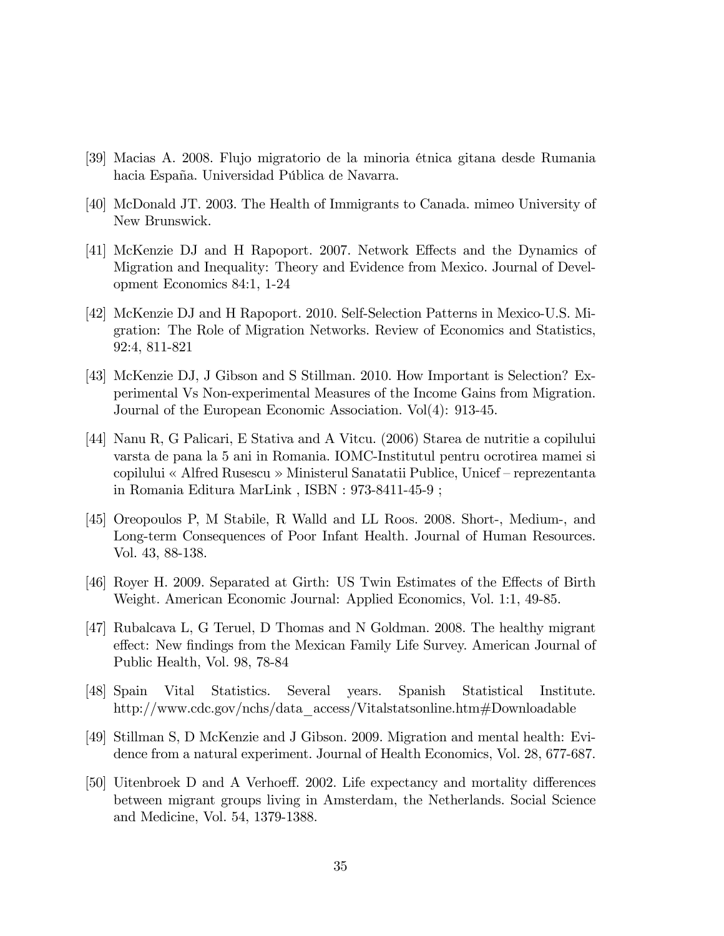- [39] Macias A. 2008. Flujo migratorio de la minoria Ètnica gitana desde Rumania hacia España. Universidad Pública de Navarra.
- [40] McDonald JT. 2003. The Health of Immigrants to Canada. mimeo University of New Brunswick.
- [41] McKenzie DJ and H Rapoport. 2007. Network Effects and the Dynamics of Migration and Inequality: Theory and Evidence from Mexico. Journal of Development Economics 84:1, 1-24
- [42] McKenzie DJ and H Rapoport. 2010. Self-Selection Patterns in Mexico-U.S. Migration: The Role of Migration Networks. Review of Economics and Statistics, 92:4, 811-821
- [43] McKenzie DJ, J Gibson and S Stillman. 2010. How Important is Selection? Experimental Vs Non-experimental Measures of the Income Gains from Migration. Journal of the European Economic Association. Vol(4): 913-45.
- [44] Nanu R, G Palicari, E Stativa and A Vitcu. (2006) Starea de nutritie a copilului varsta de pana la 5 ani in Romania. IOMC-Institutul pentru ocrotirea mamei si copilului « Alfred Rusescu » Ministerul Sanatatii Publice, Unicef – reprezentanta in Romania Editura MarLink , ISBN : 973-8411-45-9 ;
- [45] Oreopoulos P, M Stabile, R Walld and LL Roos. 2008. Short-, Medium-, and Long-term Consequences of Poor Infant Health. Journal of Human Resources. Vol. 43, 88-138.
- [46] Royer H. 2009. Separated at Girth: US Twin Estimates of the Effects of Birth Weight. American Economic Journal: Applied Economics, Vol. 1:1, 49-85.
- [47] Rubalcava L, G Teruel, D Thomas and N Goldman. 2008. The healthy migrant effect: New findings from the Mexican Family Life Survey. American Journal of Public Health, Vol. 98, 78-84
- [48] Spain Vital Statistics. Several years. Spanish Statistical Institute. http://www.cdc.gov/nchs/data\_access/Vitalstatsonline.htm#Downloadable
- [49] Stillman S, D McKenzie and J Gibson. 2009. Migration and mental health: Evidence from a natural experiment. Journal of Health Economics, Vol. 28, 677-687.
- [50] Uitenbroek D and A Verhoeff. 2002. Life expectancy and mortality differences between migrant groups living in Amsterdam, the Netherlands. Social Science and Medicine, Vol. 54, 1379-1388.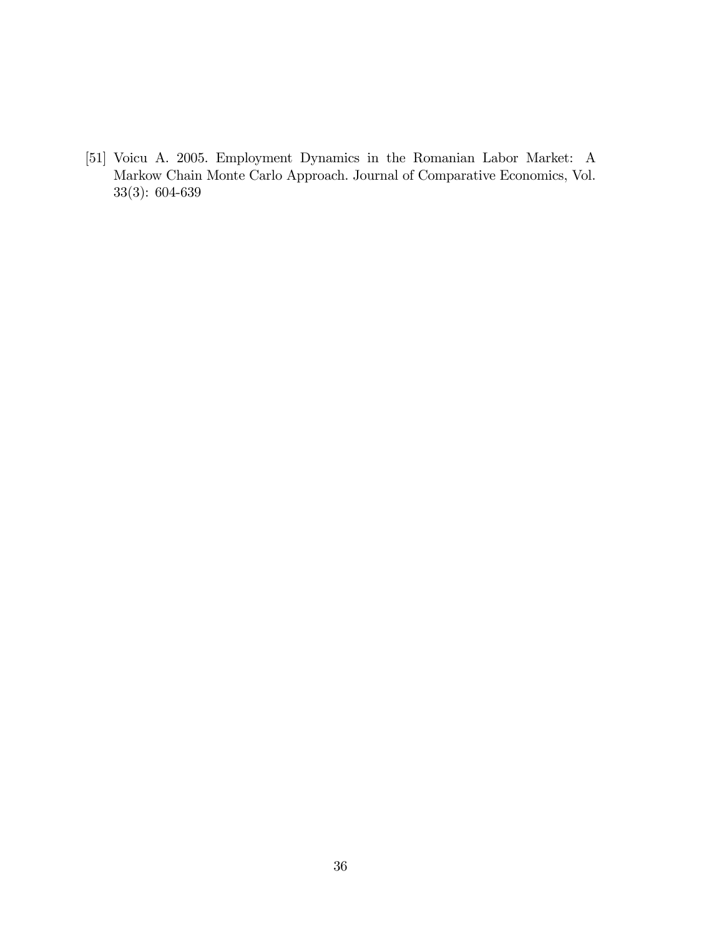[51] Voicu A. 2005. Employment Dynamics in the Romanian Labor Market: A Markow Chain Monte Carlo Approach. Journal of Comparative Economics, Vol. 33(3): 604-639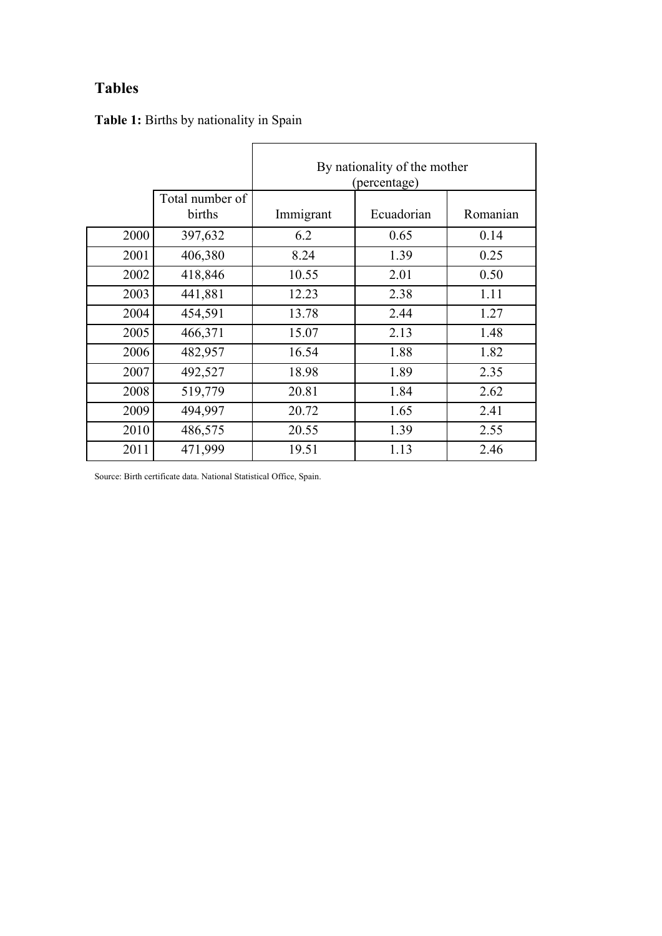# **Tables**

|      |                           | By nationality of the mother<br>(percentage) |            |          |  |  |  |
|------|---------------------------|----------------------------------------------|------------|----------|--|--|--|
|      | Total number of<br>births | Immigrant                                    | Ecuadorian | Romanian |  |  |  |
| 2000 | 397,632                   | 6.2                                          | 0.65       | 0.14     |  |  |  |
| 2001 | 406,380                   | 8.24                                         | 1.39       | 0.25     |  |  |  |
| 2002 | 418,846                   | 10.55                                        | 2.01       | 0.50     |  |  |  |
| 2003 | 441,881                   | 12.23                                        | 2.38       | 1.11     |  |  |  |
| 2004 | 454,591                   | 13.78                                        | 2.44       | 1.27     |  |  |  |
| 2005 | 466,371                   | 15.07                                        | 2.13       | 1.48     |  |  |  |
| 2006 | 482,957                   | 16.54                                        | 1.88       | 1.82     |  |  |  |
| 2007 | 492,527                   | 18.98                                        | 1.89       | 2.35     |  |  |  |
| 2008 | 519,779                   | 20.81                                        | 1.84       | 2.62     |  |  |  |
| 2009 | 494,997                   | 20.72                                        | 1.65       | 2.41     |  |  |  |
| 2010 | 486,575                   | 20.55                                        | 1.39       | 2.55     |  |  |  |
| 2011 | 471,999                   | 19.51                                        | 1.13       | 2.46     |  |  |  |

Source: Birth certificate data. National Statistical Office, Spain.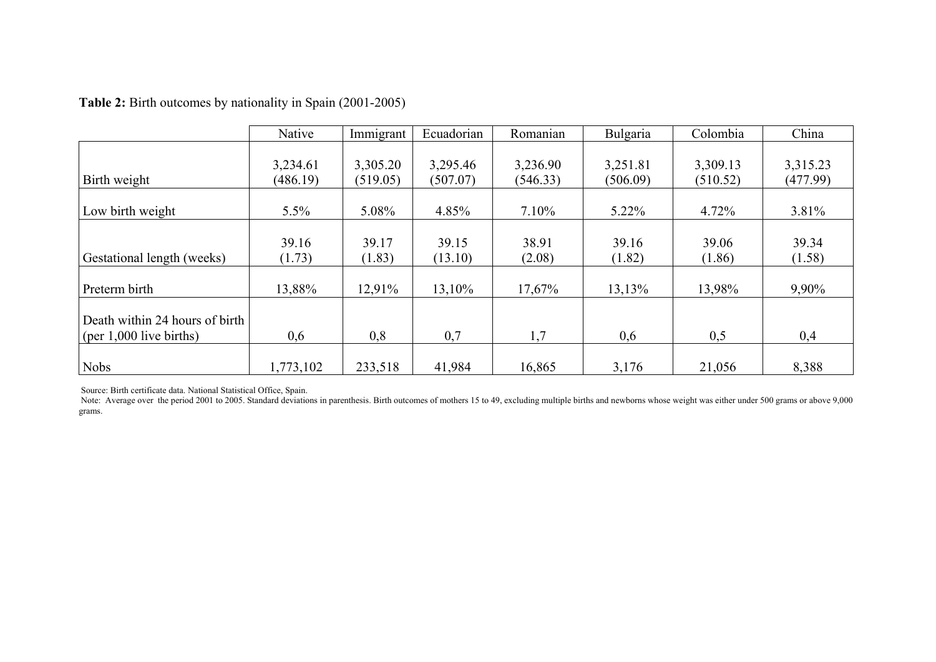|                                                             | Native               | Immigrant            | Ecuadorian           | Romanian             | Bulgaria             | Colombia             | China                |
|-------------------------------------------------------------|----------------------|----------------------|----------------------|----------------------|----------------------|----------------------|----------------------|
| Birth weight                                                | 3,234.61<br>(486.19) | 3,305.20<br>(519.05) | 3,295.46<br>(507.07) | 3,236.90<br>(546.33) | 3,251.81<br>(506.09) | 3,309.13<br>(510.52) | 3,315.23<br>(477.99) |
| Low birth weight                                            | 5.5%                 | 5.08%                | 4.85%                | $7.10\%$             | $5.22\%$             | 4.72%                | 3.81%                |
| Gestational length (weeks)                                  | 39.16<br>(1.73)      | 39.17<br>(1.83)      | 39.15<br>(13.10)     | 38.91<br>(2.08)      | 39.16<br>(1.82)      | 39.06<br>(1.86)      | 39.34<br>(1.58)      |
| Preterm birth                                               | 13,88%               | 12,91%               | 13,10%               | 17,67%               | 13,13%               | 13,98%               | 9,90%                |
| Death within 24 hours of birth<br>(per $1,000$ live births) | 0,6                  | 0,8                  | 0,7                  | 1,7                  | 0,6                  | 0,5                  | 0,4                  |
| Nobs                                                        | 1,773,102            | 233,518              | 41,984               | 16,865               | 3,176                | 21,056               | 8,388                |

**Table 2:** Birth outcomes by nationality in Spain (2001-2005)

Source: Birth certificate data. National Statistical Office, Spain.

Note: Average over the period 2001 to 2005. Standard deviations in parenthesis. Birth outcomes of mothers 15 to 49, excluding multiple births and newborns whose weight was either under 500 grams or above 9,000 grams or abo grams.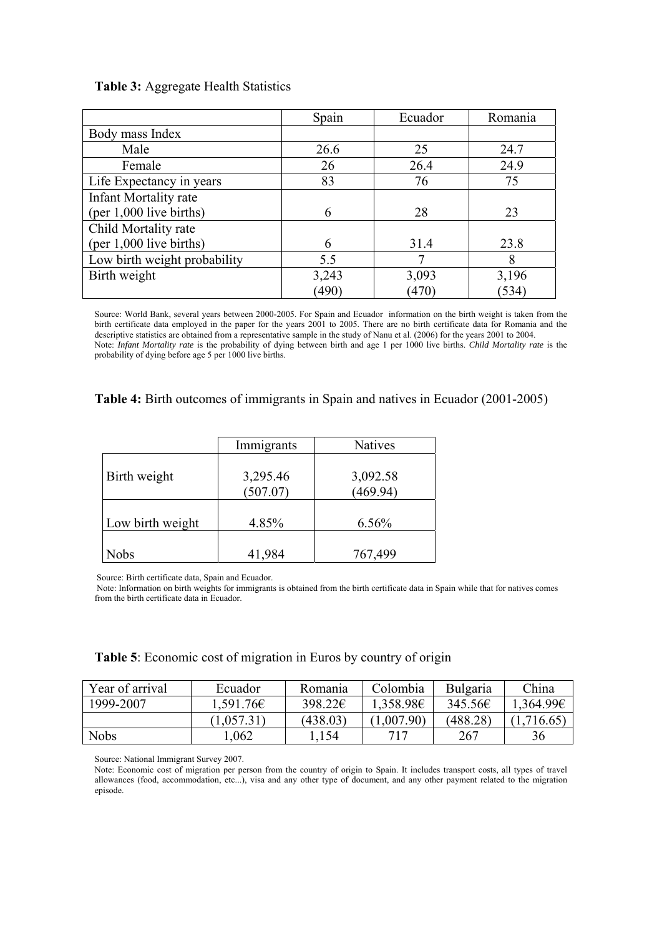### **Table 3:** Aggregate Health Statistics

|                              | Spain | Ecuador | Romania |
|------------------------------|-------|---------|---------|
| Body mass Index              |       |         |         |
| Male                         | 26.6  | 25      | 24.7    |
| Female                       | 26    | 26.4    | 24.9    |
| Life Expectancy in years     | 83    | 76      | 75      |
| <b>Infant Mortality rate</b> |       |         |         |
| (per 1,000 live births)      | 6     | 28      | 23      |
| Child Mortality rate         |       |         |         |
| $(per 1,000$ live births)    | 6     | 31.4    | 23.8    |
| Low birth weight probability | 5.5   |         | 8       |
| Birth weight                 | 3,243 | 3,093   | 3,196   |
|                              | (490) | (470)   | (534)   |

Source: World Bank, several years between 2000-2005. For Spain and Ecuador information on the birth weight is taken from the birth certificate data employed in the paper for the years 2001 to 2005. There are no birth certificate data for Romania and the descriptive statistics are obtained from a representative sample in the study of Nanu et al. (2006) for the years 2001 to 2004. Note: *Infant Mortality rate* is the probability of dying between birth and age 1 per 1000 live births. *Child Mortality rate* is the probability of dying before age 5 per 1000 live births.

### **Table 4:** Birth outcomes of immigrants in Spain and natives in Ecuador (2001-2005)

|                  | Immigrants           | <b>Natives</b>       |
|------------------|----------------------|----------------------|
| Birth weight     | 3,295.46<br>(507.07) | 3,092.58<br>(469.94) |
| Low birth weight | 4.85%                | 6.56%                |
| Nobs             | 41,984               | 767,499              |

Source: Birth certificate data, Spain and Ecuador.

 Note: Information on birth weights for immigrants is obtained from the birth certificate data in Spain while that for natives comes from the birth certificate data in Ecuador.

| Table 5: Economic cost of migration in Euros by country of origin |  |
|-------------------------------------------------------------------|--|
|-------------------------------------------------------------------|--|

| Year of arrival | Ecuador    | Romania  | Colombia       | <b>Bulgaria</b> | China     |
|-----------------|------------|----------|----------------|-----------------|-----------|
| 1999-2007       | 1.591.76€  | 398.22€  | $1,358.98 \in$ | 345.56€         | 1,364.99€ |
|                 | (1,057.31) | (438.03) | (1,007.90)     | (488.28)        | 1,716.65  |
| <b>Nobs</b>     | 1.062      | .154     | 717            | 267             | 36        |

Source: National Immigrant Survey 2007.

Note: Economic cost of migration per person from the country of origin to Spain. It includes transport costs, all types of travel allowances (food, accommodation, etc...), visa and any other type of document, and any other payment related to the migration episode.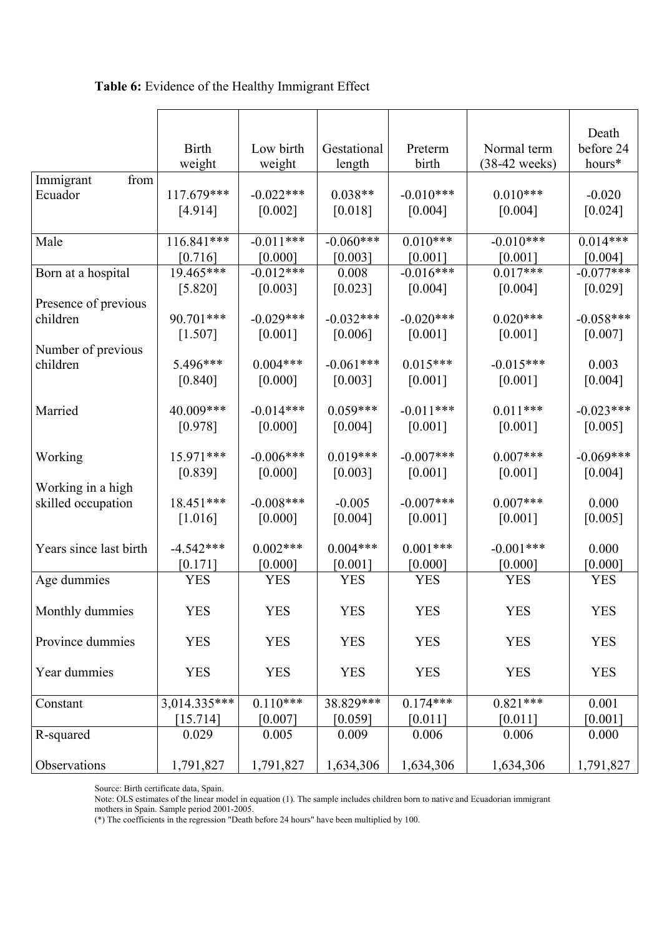### **Table 6:** Evidence of the Healthy Immigrant Effect

|                        | <b>Birth</b>             | Low birth   | Gestational | Preterm                | Normal term     | Death<br>before 24 |
|------------------------|--------------------------|-------------|-------------|------------------------|-----------------|--------------------|
|                        | weight                   | weight      | length      | birth                  | $(38-42$ weeks) | hours*             |
| Immigrant<br>from      |                          |             |             |                        |                 |                    |
| Ecuador                | 117.679***               | $-0.022***$ | $0.038**$   | $-0.010***$            | $0.010***$      | $-0.020$           |
|                        | [4.914]                  | $[0.002]$   | [0.018]     | [0.004]                | [0.004]         | [0.024]            |
|                        |                          |             |             |                        |                 |                    |
| Male                   | 116.841***               | $-0.011***$ | $-0.060***$ | $0.010***$             | $-0.010***$     | $0.014***$         |
|                        | $[0.716]$                | [0.000]     | [0.003]     | [0.001]                | $[0.001]$       | [0.004]            |
| Born at a hospital     | 19.465***                | $-0.012***$ | 0.008       | $-0.016***$            | $0.017***$      | $-0.077***$        |
|                        | [5.820]                  | [0.003]     | [0.023]     | [0.004]                | [0.004]         | [0.029]            |
| Presence of previous   |                          |             |             |                        |                 |                    |
| children               | 90.701***                | $-0.029***$ | $-0.032***$ | $-0.020***$<br>[0.001] | $0.020***$      | $-0.058***$        |
| Number of previous     | [1.507]                  | [0.001]     | [0.006]     |                        | [0.001]         | [0.007]            |
| children               | 5.496***                 | $0.004***$  | $-0.061***$ | $0.015***$             | $-0.015***$     | 0.003              |
|                        | [0.840]                  | [0.000]     | [0.003]     | [0.001]                | [0.001]         | [0.004]            |
|                        |                          |             |             |                        |                 |                    |
| Married                | 40.009***                | $-0.014***$ | $0.059***$  | $-0.011***$            | $0.011***$      | $-0.023***$        |
|                        | [0.978]                  | [0.000]     | [0.004]     | $[0.001]$              | $[0.001]$       | [0.005]            |
|                        |                          |             |             |                        |                 |                    |
| Working                | 15.971***                | $-0.006***$ | $0.019***$  | $-0.007$ ***           | $0.007***$      | $-0.069***$        |
|                        | [0.839]                  | $[0.000]$   | [0.003]     | [0.001]                | [0.001]         | [0.004]            |
| Working in a high      |                          |             |             |                        |                 |                    |
| skilled occupation     | 18.451***                | $-0.008***$ | $-0.005$    | $-0.007***$            | $0.007***$      | 0.000              |
|                        | [1.016]                  | [0.000]     | [0.004]     | $[0.001]$              | $[0.001]$       | $[0.005]$          |
| Years since last birth | $-4.542***$              | $0.002***$  | $0.004***$  | $0.001***$             | $-0.001***$     | 0.000              |
|                        | [0.171]                  | [0.000]     | [0.001]     | [0.000]                | [0.000]         | [0.000]            |
| Age dummies            | <b>YES</b>               | <b>YES</b>  | <b>YES</b>  | <b>YES</b>             | <b>YES</b>      | <b>YES</b>         |
|                        |                          |             |             |                        |                 |                    |
| Monthly dummies        | YES                      | YES         | YES         | YES                    | YES             | YES                |
|                        |                          |             |             |                        |                 |                    |
| Province dummies       | <b>YES</b>               | <b>YES</b>  | <b>YES</b>  | <b>YES</b>             | <b>YES</b>      | <b>YES</b>         |
|                        |                          |             |             |                        |                 |                    |
| Year dummies           | <b>YES</b>               | <b>YES</b>  | <b>YES</b>  | <b>YES</b>             | <b>YES</b>      | <b>YES</b>         |
|                        |                          | $0.110***$  | 38.829***   | $0.174***$             | $0.821***$      |                    |
| Constant               | 3,014.335***<br>[15.714] | [0.007]     | [0.059]     | [0.011]                | [0.011]         | 0.001<br>[0.001]   |
| R-squared              | 0.029                    | 0.005       | 0.009       | 0.006                  | 0.006           | 0.000              |
|                        |                          |             |             |                        |                 |                    |
| Observations           | 1,791,827                | 1,791,827   | 1,634,306   | 1,634,306              | 1,634,306       | 1,791,827          |

Source: Birth certificate data, Spain.

Note: OLS estimates of the linear model in equation (1). The sample includes children born to native and Ecuadorian immigrant mothers in Spain. Sample period 2001-2005.

(\*) The coefficients in the regression "Death before 24 hours" have been multiplied by 100.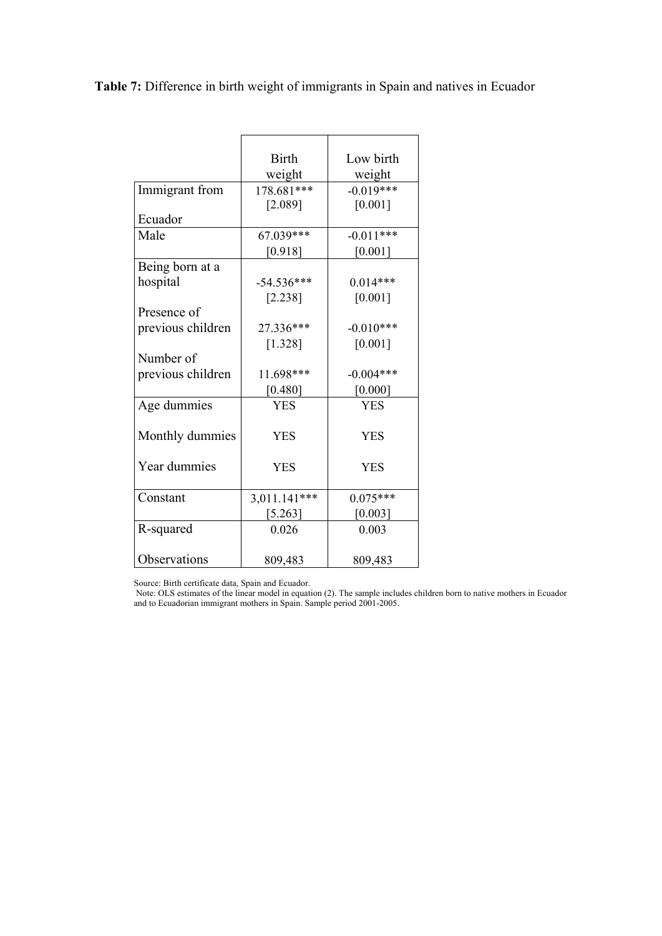**Table 7:** Difference in birth weight of immigrants in Spain and natives in Ecuador

|                   | <b>Birth</b> | Low birth   |
|-------------------|--------------|-------------|
|                   | weight       | weight      |
| Immigrant from    | 178.681***   | $-0.019***$ |
|                   | [2.089]      | [0.001]     |
| Ecuador           |              |             |
| Male              | 67.039***    | $-0.011***$ |
|                   | [0.918]      | [0.001]     |
| Being born at a   |              |             |
| hospital          | $-54.536***$ | $0.014***$  |
|                   | [2.238]      | [0.001]     |
| Presence of       |              |             |
| previous children | 27.336***    | $-0.010***$ |
|                   | [1.328]      | [0.001]     |
| Number of         |              |             |
| previous children | 11.698***    | $-0.004***$ |
|                   | [0.480]      | [0.000]     |
| Age dummies       | <b>YES</b>   | <b>YES</b>  |
|                   |              |             |
| Monthly dummies   | <b>YES</b>   | <b>YES</b>  |
|                   |              |             |
| Year dummies      | <b>YES</b>   | <b>YES</b>  |
|                   |              |             |
| Constant          | 3,011.141*** | $0.075***$  |
|                   | [5.263]      | [0.003]     |
| R-squared         | 0.026        | 0.003       |
|                   |              |             |
| Observations      | 809,483      | 809,483     |

Source: Birth certificate data, Spain and Ecuador.

 Note: OLS estimates of the linear model in equation (2). The sample includes children born to native mothers in Ecuador and to Ecuadorian immigrant mothers in Spain. Sample period 2001-2005.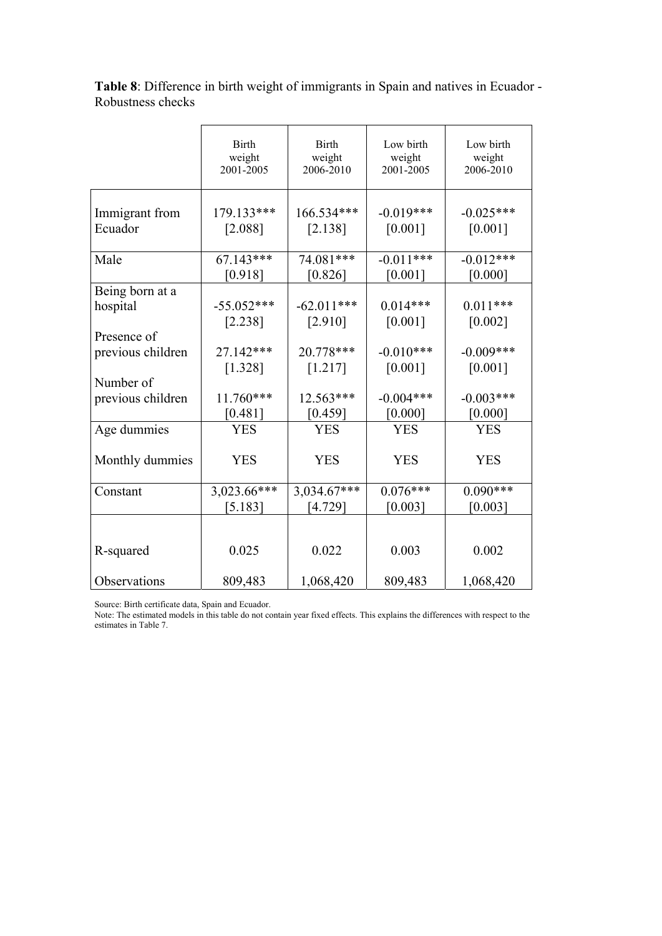|                           | <b>Birth</b><br>weight<br>2001-2005 | <b>Birth</b><br>weight<br>2006-2010 | Low birth<br>weight<br>2001-2005 | Low birth<br>weight<br>2006-2010 |
|---------------------------|-------------------------------------|-------------------------------------|----------------------------------|----------------------------------|
| Immigrant from<br>Ecuador | 179.133***<br>[2.088]               | 166.534***<br>[2.138]               | $-0.019***$<br>[0.001]           | $-0.025***$<br>[0.001]           |
| Male                      | $67.143***$<br>[0.918]              | 74.081***<br>[0.826]                | $-0.011***$<br>[0.001]           | $-0.012***$<br>[0.000]           |
| Being born at a           |                                     |                                     |                                  |                                  |
| hospital                  | $-55.052***$                        | $-62.011***$                        | $0.014***$                       | $0.011***$                       |
|                           | [2.238]                             | [2.910]                             | [0.001]                          | [0.002]                          |
| Presence of               |                                     |                                     |                                  |                                  |
| previous children         | 27.142***                           | 20.778***                           | $-0.010***$                      | $-0.009***$                      |
|                           | [1.328]                             | [1.217]                             | [0.001]                          | [0.001]                          |
| Number of                 |                                     |                                     |                                  |                                  |
| previous children         | 11.760***                           | 12.563***                           | $-0.004***$                      | $-0.003***$                      |
|                           | $[0.481]$                           | [0.459]                             | [0.000]                          | [0.000]                          |
| Age dummies               | <b>YES</b>                          | <b>YES</b>                          | <b>YES</b>                       | <b>YES</b>                       |
| Monthly dummies           | <b>YES</b>                          | <b>YES</b>                          | <b>YES</b>                       | <b>YES</b>                       |
| Constant                  | 3,023.66***                         | 3,034.67***                         | $0.076***$                       | $0.090***$                       |
|                           | [5.183]                             | [4.729]                             | [0.003]                          | [0.003]                          |
| R-squared                 | 0.025                               | 0.022                               | 0.003                            | 0.002                            |
|                           |                                     |                                     |                                  |                                  |
| Observations              | 809,483                             | 1,068,420                           | 809,483                          | 1,068,420                        |

**Table 8**: Difference in birth weight of immigrants in Spain and natives in Ecuador - Robustness checks

Source: Birth certificate data, Spain and Ecuador.

Note: The estimated models in this table do not contain year fixed effects. This explains the differences with respect to the estimates in Table 7.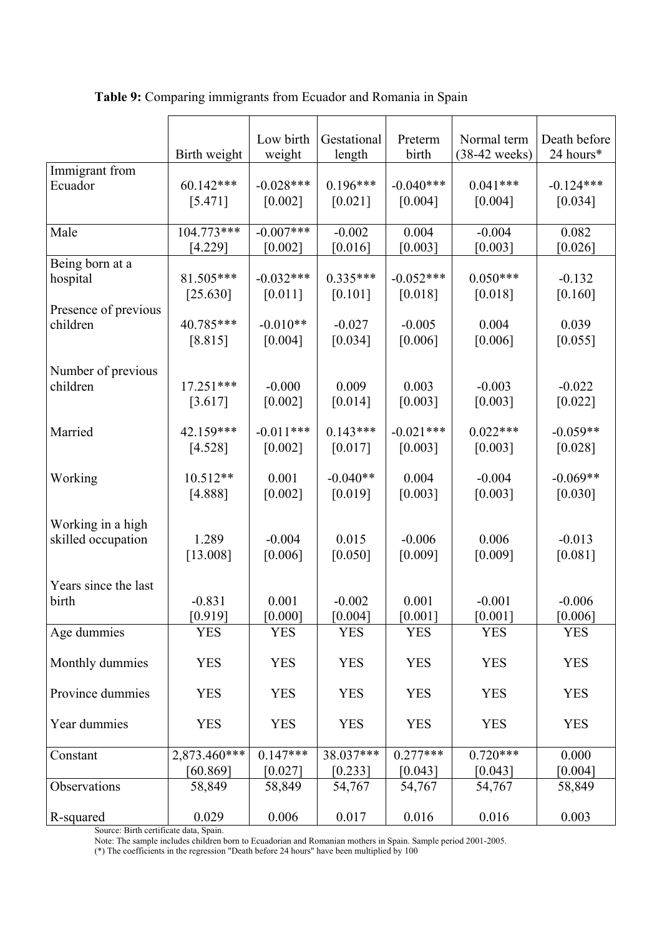|                      | Birth weight | Low birth<br>weight | Gestational<br>length | Preterm<br>birth | Normal term<br>$(38-42$ weeks) | Death before<br>24 hours* |
|----------------------|--------------|---------------------|-----------------------|------------------|--------------------------------|---------------------------|
| Immigrant from       | 60.142***    | $-0.028***$         | $0.196***$            | $-0.040***$      | $0.041***$                     | $-0.124***$               |
| Ecuador              | [5.471]      | [0.002]             | [0.021]               | [0.004]          | [0.004]                        | [0.034]                   |
| Male                 | $104.773***$ | $-0.007***$         | $-0.002$              | 0.004            | $-0.004$                       | 0.082                     |
|                      | [4.229]      | [0.002]             | [0.016]               | [0.003]          | [0.003]                        | [0.026]                   |
| Being born at a      | 81.505***    | $-0.032***$         | $0.335***$            | $-0.052***$      | $0.050***$                     | $-0.132$                  |
| hospital             | [25.630]     | [0.011]             | [0.101]               | [0.018]          | [0.018]                        | [0.160]                   |
| Presence of previous | 40.785***    | $-0.010**$          | $-0.027$              | $-0.005$         | 0.004                          | 0.039                     |
| children             | [8.815]      | [0.004]             | [0.034]               | [0.006]          | [0.006]                        | [0.055]                   |
| Number of previous   | 17.251***    | $-0.000$            | 0.009                 | 0.003            | $-0.003$                       | $-0.022$                  |
| children             | [3.617]      | [0.002]             | [0.014]               | [0.003]          | [0.003]                        | [0.022]                   |
| Married              | 42.159***    | $-0.011***$         | $0.143***$            | $-0.021***$      | $0.022***$                     | $-0.059**$                |
|                      | [4.528]      | [0.002]             | [0.017]               | [0.003]          | [0.003]                        | [0.028]                   |
| Working              | $10.512**$   | 0.001               | $-0.040**$            | 0.004            | $-0.004$                       | $-0.069**$                |
|                      | [4.888]      | $[0.002]$           | [0.019]               | [0.003]          | [0.003]                        | $[0.030]$                 |
| Working in a high    | 1.289        | $-0.004$            | 0.015                 | $-0.006$         | 0.006                          | $-0.013$                  |
| skilled occupation   | [13.008]     | [0.006]             | [0.050]               | [0.009]          | [0.009]                        | [0.081]                   |
| Years since the last | $-0.831$     | 0.001               | $-0.002$              | 0.001            | $-0.001$                       | $-0.006$                  |
| birth                | [0.919]      | [0.000]             | [0.004]               | [0.001]          | [0.001]                        | [0.006]                   |
| Age dummies          | <b>YES</b>   | <b>YES</b>          | <b>YES</b>            | <b>YES</b>       | <b>YES</b>                     | <b>YES</b>                |
| Monthly dummies      | <b>YES</b>   | <b>YES</b>          | <b>YES</b>            | <b>YES</b>       | <b>YES</b>                     | <b>YES</b>                |
| Province dummies     | <b>YES</b>   | <b>YES</b>          | <b>YES</b>            | <b>YES</b>       | <b>YES</b>                     | <b>YES</b>                |
| Year dummies         | <b>YES</b>   | <b>YES</b>          | <b>YES</b>            | <b>YES</b>       | <b>YES</b>                     | <b>YES</b>                |
| Constant             | 2,873.460*** | $0.147***$          | 38.037***             | $0.277***$       | $0.720***$                     | 0.000                     |
| Observations         | [60.869]     | [0.027]             | [0.233]               | [0.043]          | [0.043]                        | [0.004]                   |
|                      | 58,849       | 58,849              | 54,767                | 54,767           | 54,767                         | 58,849                    |
| R-squared            | 0.029        | 0.006               | 0.017                 | 0.016            | 0.016                          | 0.003                     |

**Table 9:** Comparing immigrants from Ecuador and Romania in Spain

Source: Birth certificate data, Spain.

Note: The sample includes children born to Ecuadorian and Romanian mothers in Spain. Sample period 2001-2005.

(\*) The coefficients in the regression "Death before 24 hours" have been multiplied by 100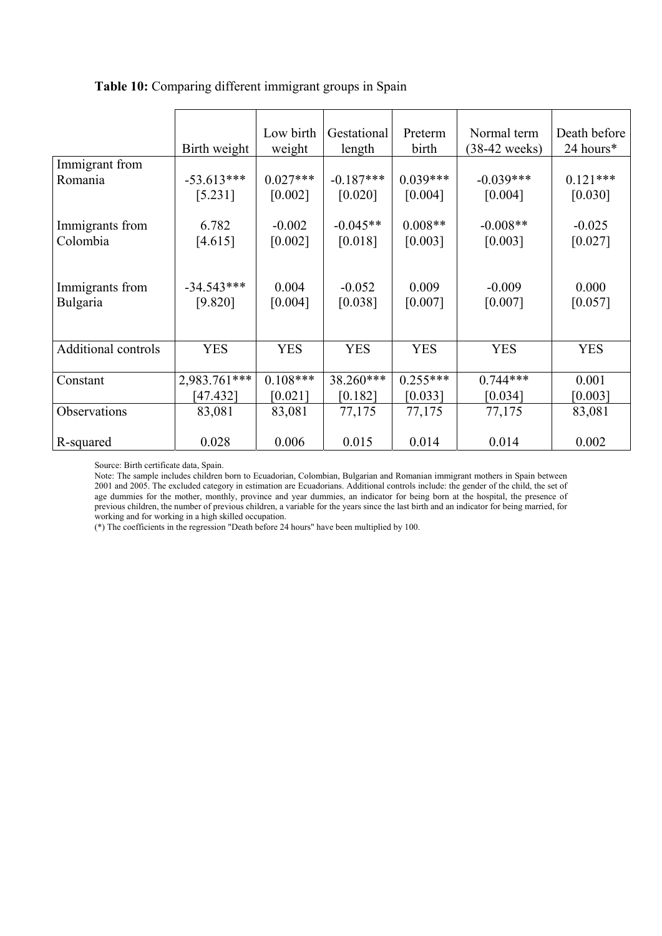### **Table 10:** Comparing different immigrant groups in Spain

|                     | Birth weight | Low birth<br>weight | Gestational<br>length | Preterm<br>birth | Normal term<br>(38-42 weeks) | Death before<br>24 hours* |
|---------------------|--------------|---------------------|-----------------------|------------------|------------------------------|---------------------------|
| Immigrant from      |              |                     |                       |                  |                              |                           |
| Romania             | $-53.613***$ | $0.027***$          | $-0.187***$           | $0.039***$       | $-0.039***$                  | $0.121***$                |
|                     | [5.231]      | [0.002]             | [0.020]               | [0.004]          | [0.004]                      | [0.030]                   |
|                     |              |                     |                       |                  |                              |                           |
| Immigrants from     | 6.782        | $-0.002$            | $-0.045**$            | $0.008**$        | $-0.008**$                   | $-0.025$                  |
| Colombia            | [4.615]      | [0.002]             | [0.018]               | [0.003]          | [0.003]                      | $[0.027]$                 |
|                     |              |                     |                       |                  |                              |                           |
|                     |              |                     |                       |                  |                              |                           |
| Immigrants from     | $-34.543***$ | 0.004               | $-0.052$              | 0.009            | $-0.009$                     | 0.000                     |
| Bulgaria            | [9.820]      | [0.004]             | [0.038]               | [0.007]          | [0.007]                      | [0.057]                   |
|                     |              |                     |                       |                  |                              |                           |
|                     |              |                     |                       |                  |                              |                           |
| Additional controls | <b>YES</b>   | <b>YES</b>          | <b>YES</b>            | <b>YES</b>       | <b>YES</b>                   | <b>YES</b>                |
| Constant            | 2,983.761*** | $0.108***$          | 38.260***             | $0.255***$       | $0.744***$                   | 0.001                     |
|                     | [47.432]     | $[0.021]$           | [0.182]               | [0.033]          | [0.034]                      | [0.003]                   |
|                     |              |                     |                       |                  |                              |                           |
| Observations        | 83,081       | 83,081              | 77,175                | 77,175           | 77,175                       | 83,081                    |
|                     | 0.028        | 0.006               | 0.015                 | 0.014            | 0.014                        | 0.002                     |
| R-squared           |              |                     |                       |                  |                              |                           |

Source: Birth certificate data, Spain.

Note: The sample includes children born to Ecuadorian, Colombian, Bulgarian and Romanian immigrant mothers in Spain between 2001 and 2005. The excluded category in estimation are Ecuadorians. Additional controls include: the gender of the child, the set of age dummies for the mother, monthly, province and year dummies, an indicator for being born at the hospital, the presence of previous children, the number of previous children, a variable for the years since the last birth and an indicator for being married, for working and for working in a high skilled occupation.

(\*) The coefficients in the regression "Death before 24 hours" have been multiplied by 100.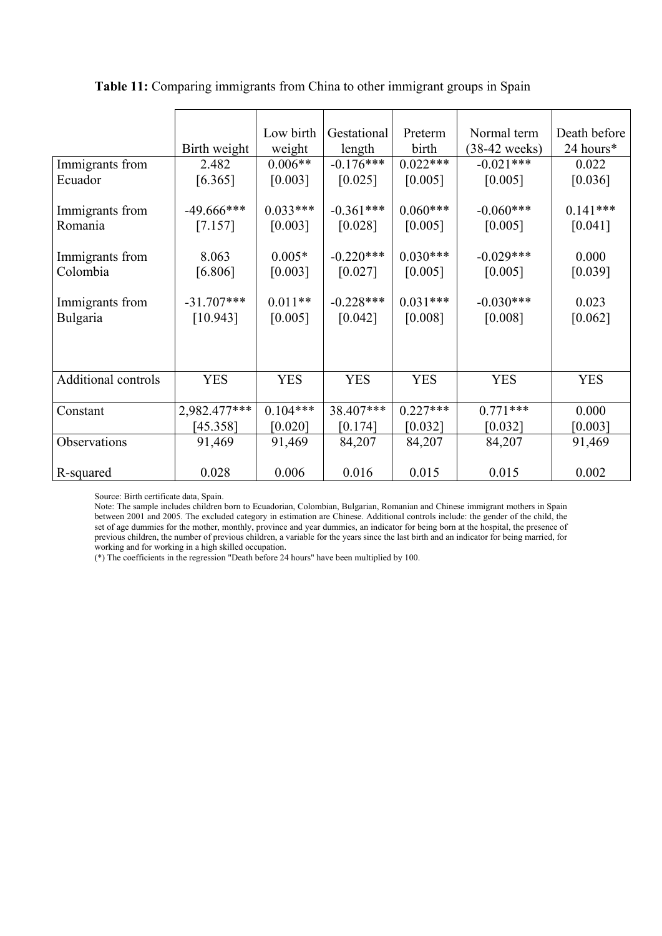|                            |               | Low birth  | Gestational |                  | Normal term     |                           |
|----------------------------|---------------|------------|-------------|------------------|-----------------|---------------------------|
|                            | Birth weight  | weight     | length      | Preterm<br>birth | $(38-42$ weeks) | Death before<br>24 hours* |
| Immigrants from            | 2.482         | $0.006**$  | $-0.176***$ | $0.022***$       | $-0.021***$     | 0.022                     |
| Ecuador                    | [6.365]       | [0.003]    | [0.025]     | [0.005]          | [0.005]         | [0.036]                   |
|                            |               |            |             |                  |                 |                           |
| Immigrants from            | $-49.666$ *** | $0.033***$ | $-0.361***$ | $0.060***$       | $-0.060***$     | $0.141***$                |
| Romania                    | [7.157]       | [0.003]    | [0.028]     | [0.005]          | [0.005]         | [0.041]                   |
|                            |               |            |             |                  |                 |                           |
| Immigrants from            | 8.063         | $0.005*$   | $-0.220***$ | $0.030***$       | $-0.029***$     | 0.000                     |
| Colombia                   | [6.806]       | [0.003]    | [0.027]     | [0.005]          | [0.005]         | [0.039]                   |
| Immigrants from            | $-31.707***$  | $0.011**$  | $-0.228***$ | $0.031***$       | $-0.030***$     | 0.023                     |
| Bulgaria                   | [10.943]      | [0.005]    | [0.042]     | [0.008]          | [0.008]         | $[0.062]$                 |
|                            |               |            |             |                  |                 |                           |
|                            |               |            |             |                  |                 |                           |
|                            |               |            |             |                  |                 |                           |
| <b>Additional controls</b> | <b>YES</b>    | <b>YES</b> | <b>YES</b>  | <b>YES</b>       | <b>YES</b>      | <b>YES</b>                |
|                            |               |            |             |                  |                 |                           |
| Constant                   | 2,982.477***  | $0.104***$ | 38.407***   | $0.227***$       | $0.771***$      | 0.000                     |
|                            | [45.358]      | [0.020]    | [0.174]     | [0.032]          | [0.032]         | [0.003]                   |
| Observations               | 91,469        | 91,469     | 84,207      | 84,207           | 84,207          | 91,469                    |
|                            |               |            |             |                  |                 |                           |
| R-squared                  | 0.028         | 0.006      | 0.016       | 0.015            | 0.015           | 0.002                     |

**Table 11:** Comparing immigrants from China to other immigrant groups in Spain

Source: Birth certificate data, Spain.

Note: The sample includes children born to Ecuadorian, Colombian, Bulgarian, Romanian and Chinese immigrant mothers in Spain between 2001 and 2005. The excluded category in estimation are Chinese. Additional controls include: the gender of the child, the set of age dummies for the mother, monthly, province and year dummies, an indicator for being born at the hospital, the presence of previous children, the number of previous children, a variable for the years since the last birth and an indicator for being married, for working and for working in a high skilled occupation.

(\*) The coefficients in the regression "Death before 24 hours" have been multiplied by 100.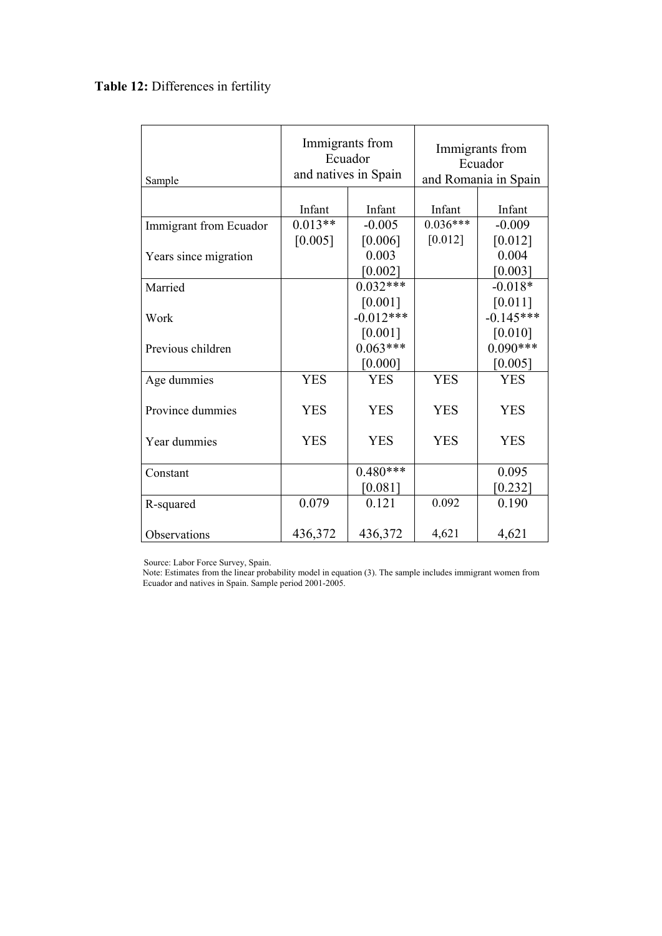# **Table 12:** Differences in fertility

| Sample                 | Immigrants from<br>Ecuador<br>and natives in Spain |             | Immigrants from<br>Ecuador<br>and Romania in Spain |             |  |
|------------------------|----------------------------------------------------|-------------|----------------------------------------------------|-------------|--|
|                        |                                                    |             |                                                    |             |  |
|                        | Infant                                             | Infant      | Infant                                             | Infant      |  |
| Immigrant from Ecuador | $0.013**$                                          | $-0.005$    | $0.036***$                                         | $-0.009$    |  |
|                        | [0.005]                                            | [0.006]     | [0.012]                                            | [0.012]     |  |
| Years since migration  |                                                    | 0.003       |                                                    | 0.004       |  |
|                        |                                                    | [0.002]     |                                                    | [0.003]     |  |
| Married                |                                                    | $0.032***$  |                                                    | $-0.018*$   |  |
|                        |                                                    | [0.001]     |                                                    | [0.011]     |  |
| Work                   |                                                    | $-0.012***$ |                                                    | $-0.145***$ |  |
|                        |                                                    | [0.001]     |                                                    | [0.010]     |  |
| Previous children      |                                                    | $0.063***$  |                                                    | $0.090***$  |  |
|                        |                                                    | [0.000]     |                                                    | $[0.005]$   |  |
| Age dummies            | <b>YES</b>                                         | <b>YES</b>  | <b>YES</b>                                         | <b>YES</b>  |  |
|                        |                                                    |             |                                                    |             |  |
| Province dummies       | <b>YES</b>                                         | <b>YES</b>  | <b>YES</b>                                         | <b>YES</b>  |  |
| Year dummies           | <b>YES</b>                                         | <b>YES</b>  | <b>YES</b>                                         | <b>YES</b>  |  |
| Constant               |                                                    | $0.480***$  |                                                    | 0.095       |  |
|                        |                                                    | [0.081]     |                                                    | $[0.232]$   |  |
| R-squared              | 0.079                                              | 0.121       | 0.092                                              | 0.190       |  |
| Observations           | 436,372                                            | 436,372     | 4,621                                              | 4,621       |  |

Source: Labor Force Survey, Spain.

 Note: Estimates from the linear probability model in equation (3). The sample includes immigrant women from Ecuador and natives in Spain. Sample period 2001-2005.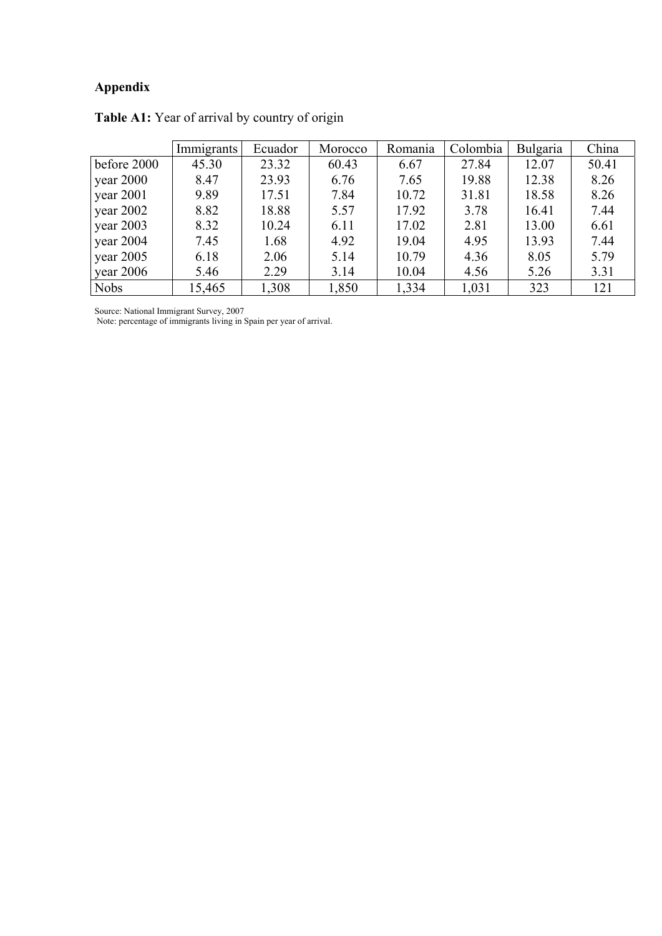# **Appendix**

|             | <b>Immigrants</b> | Ecuador | Morocco | Romania | Colombia | Bulgaria | China |
|-------------|-------------------|---------|---------|---------|----------|----------|-------|
| before 2000 | 45.30             | 23.32   | 60.43   | 6.67    | 27.84    | 12.07    | 50.41 |
| year $2000$ | 8.47              | 23.93   | 6.76    | 7.65    | 19.88    | 12.38    | 8.26  |
| year 2001   | 9.89              | 17.51   | 7.84    | 10.72   | 31.81    | 18.58    | 8.26  |
| year $2002$ | 8.82              | 18.88   | 5.57    | 17.92   | 3.78     | 16.41    | 7.44  |
| year $2003$ | 8.32              | 10.24   | 6.11    | 17.02   | 2.81     | 13.00    | 6.61  |
| year 2004   | 7.45              | 1.68    | 4.92    | 19.04   | 4.95     | 13.93    | 7.44  |
| year $2005$ | 6.18              | 2.06    | 5.14    | 10.79   | 4.36     | 8.05     | 5.79  |
| year $2006$ | 5.46              | 2.29    | 3.14    | 10.04   | 4.56     | 5.26     | 3.31  |
| <b>Nobs</b> | 15,465            | 1,308   | 1,850   | 1,334   | 1,031    | 323      | 121   |

**Table A1:** Year of arrival by country of origin

Source: National Immigrant Survey, 2007

Note: percentage of immigrants living in Spain per year of arrival.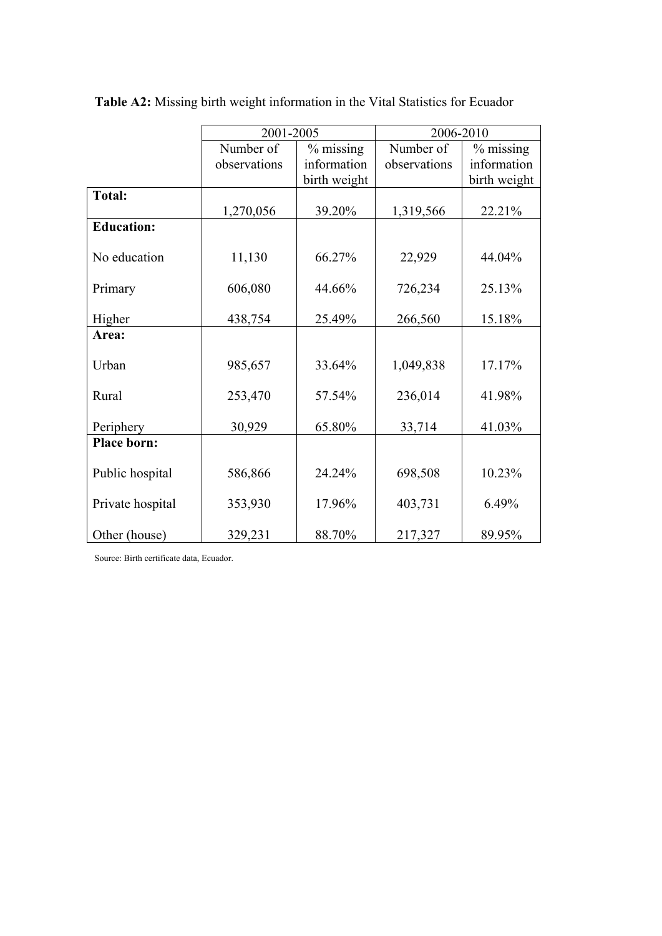|                    | 2001-2005    |              | 2006-2010    |              |  |
|--------------------|--------------|--------------|--------------|--------------|--|
|                    | Number of    | $%$ missing  | Number of    | $%$ missing  |  |
|                    | observations | information  | observations | information  |  |
|                    |              | birth weight |              | birth weight |  |
| <b>Total:</b>      |              |              |              |              |  |
|                    | 1,270,056    | 39.20%       | 1,319,566    | 22.21%       |  |
| <b>Education:</b>  |              |              |              |              |  |
| No education       | 11,130       | 66.27%       | 22,929       | 44.04%       |  |
| Primary            | 606,080      | 44.66%       | 726,234      | 25.13%       |  |
| Higher             | 438,754      | 25.49%       | 266,560      | 15.18%       |  |
| Area:              |              |              |              |              |  |
| Urban              | 985,657      | 33.64%       | 1,049,838    | 17.17%       |  |
| Rural              | 253,470      | 57.54%       | 236,014      | 41.98%       |  |
| Periphery          | 30,929       | 65.80%       | 33,714       | 41.03%       |  |
| <b>Place born:</b> |              |              |              |              |  |
| Public hospital    | 586,866      | 24.24%       | 698,508      | 10.23%       |  |
| Private hospital   | 353,930      | 17.96%       | 403,731      | 6.49%        |  |
| Other (house)      | 329,231      | 88.70%       | 217,327      | 89.95%       |  |

**Table A2:** Missing birth weight information in the Vital Statistics for Ecuador

Source: Birth certificate data, Ecuador.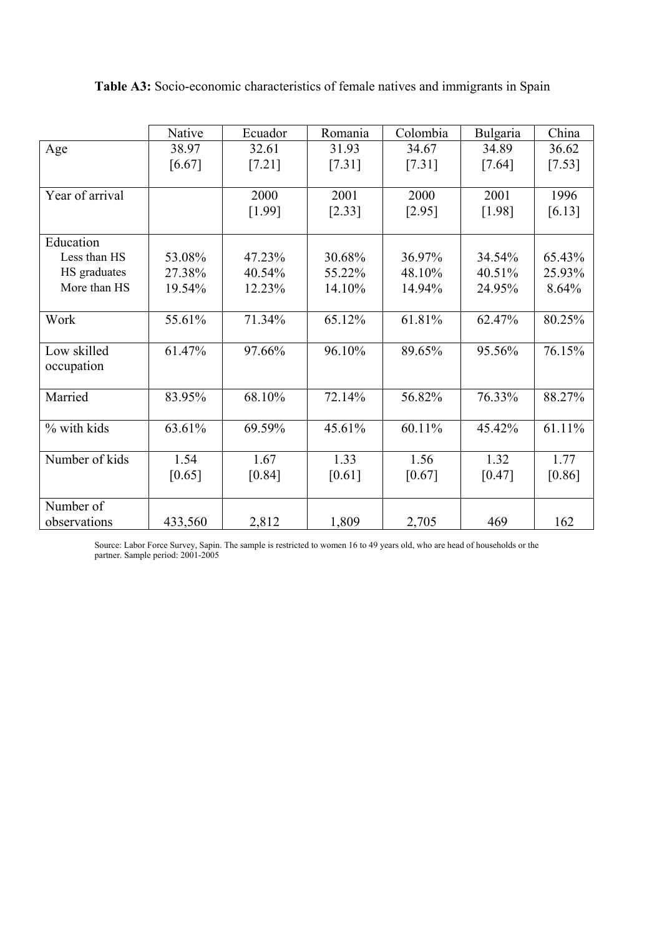|                 | Native  | Ecuador | Romania | Colombia | Bulgaria | China  |
|-----------------|---------|---------|---------|----------|----------|--------|
| Age             | 38.97   | 32.61   | 31.93   | 34.67    | 34.89    | 36.62  |
|                 | [6.67]  | [7.21]  | [7.31]  | [7.31]   | $[7.64]$ | [7.53] |
|                 |         |         |         |          |          |        |
| Year of arrival |         | 2000    | 2001    | 2000     | 2001     | 1996   |
|                 |         | [1.99]  | [2.33]  | [2.95]   | [1.98]   | [6.13] |
|                 |         |         |         |          |          |        |
| Education       |         |         |         |          |          |        |
| Less than HS    | 53.08%  | 47.23%  | 30.68%  | 36.97%   | 34.54%   | 65.43% |
| HS graduates    | 27.38%  | 40.54%  | 55.22%  | 48.10%   | 40.51%   | 25.93% |
| More than HS    | 19.54%  | 12.23%  | 14.10%  | 14.94%   | 24.95%   | 8.64%  |
|                 |         |         |         |          |          |        |
| Work            | 55.61%  | 71.34%  | 65.12%  | 61.81%   | 62.47%   | 80.25% |
|                 |         |         |         |          |          |        |
| Low skilled     | 61.47%  | 97.66%  | 96.10%  | 89.65%   | 95.56%   | 76.15% |
| occupation      |         |         |         |          |          |        |
|                 |         |         |         |          |          |        |
| Married         | 83.95%  | 68.10%  | 72.14%  | 56.82%   | 76.33%   | 88.27% |
|                 |         |         |         |          |          |        |
| % with kids     | 63.61%  | 69.59%  | 45.61%  | 60.11%   | 45.42%   | 61.11% |
|                 |         |         |         |          |          |        |
| Number of kids  | 1.54    | 1.67    | 1.33    | 1.56     | 1.32     | 1.77   |
|                 | [0.65]  | [0.84]  | [0.61]  | [0.67]   | [0.47]   | [0.86] |
|                 |         |         |         |          |          |        |
| Number of       |         |         |         |          |          |        |
| observations    | 433,560 | 2,812   | 1,809   | 2,705    | 469      | 162    |

**Table A3:** Socio-economic characteristics of female natives and immigrants in Spain

Source: Labor Force Survey, Sapin. The sample is restricted to women 16 to 49 years old, who are head of households or the partner. Sample period: 2001-2005